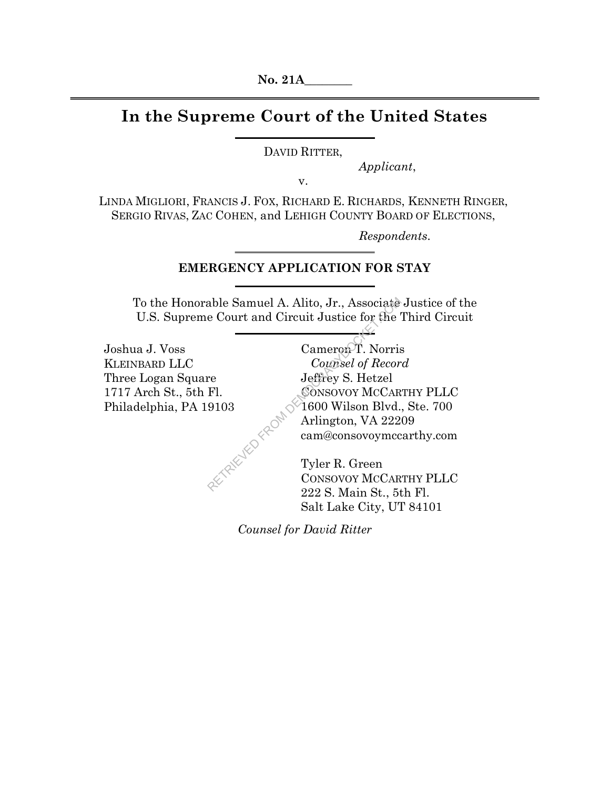# **In the Supreme Court of the United States**

DAVID RITTER,

*Applicant*,

v.

LINDA MIGLIORI, FRANCIS J. FOX, RICHARD E. RICHARDS, KENNETH RINGER, SERGIO RIVAS, ZAC COHEN, and LEHIGH COUNTY BOARD OF ELECTIONS,

*Respondents.*

## **EMERGENCY APPLICATION FOR STAY**

To the Honorable Samuel A. Alito, Jr., Associate Justice of the U.S. Supreme Court and Circuit Justice for the Third Circuit

|                        | To the Honorable Samuel A. Alito, Jr., Associate Justice of t |
|------------------------|---------------------------------------------------------------|
|                        | U.S. Supreme Court and Circuit Justice for the Third Circu    |
|                        |                                                               |
| Joshua J. Voss         | Cameron T. Norris                                             |
| <b>KLEINBARD LLC</b>   | Counsel of Record                                             |
| Three Logan Square     | Jeffrey S. Hetzel                                             |
| 1717 Arch St., 5th Fl. | CONSOVOY MCCARTHY PLLC                                        |
| Philadelphia, PA 19103 | 1600 Wilson Blvd., Ste. 700                                   |
|                        | Arlington, VA 22209                                           |
| ZEYPIE YES FROM        | cam@consovoymccarthy.com                                      |
|                        | Tyler R. Green                                                |
|                        | CONSOVOY MCCARTHY PLLC                                        |
|                        | 222 S. Main St., 5th Fl.                                      |
|                        | Salt Lake City, UT 84101                                      |

*Counsel for David Ritter*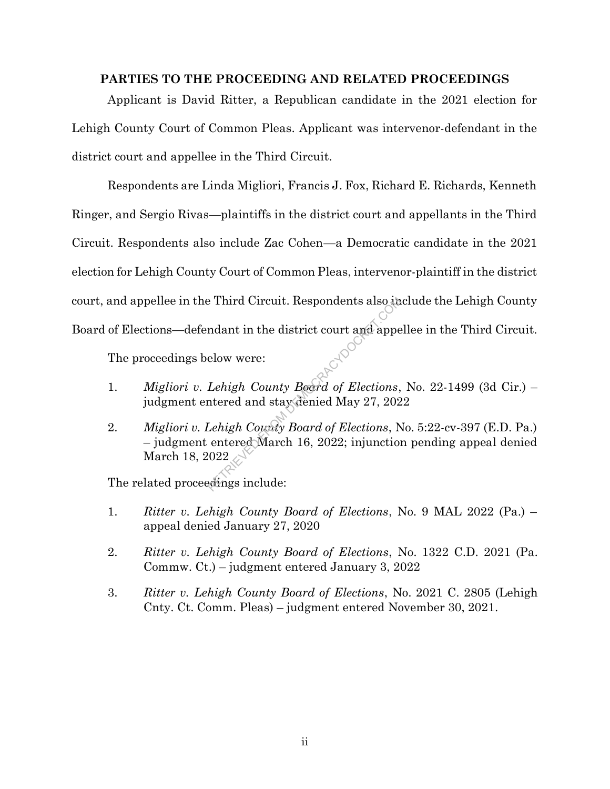#### **PARTIES TO THE PROCEEDING AND RELATED PROCEEDINGS**

Applicant is David Ritter, a Republican candidate in the 2021 election for Lehigh County Court of Common Pleas. Applicant was intervenor-defendant in the district court and appellee in the Third Circuit.

Respondents are Linda Migliori, Francis J. Fox, Richard E. Richards, Kenneth Ringer, and Sergio Rivas—plaintiffs in the district court and appellants in the Third Circuit. Respondents also include Zac Cohen—a Democratic candidate in the 2021 election for Lehigh County Court of Common Pleas, intervenor-plaintiff in the district court, and appellee in the Third Circuit. Respondents also include the Lehigh County Board of Elections—defendant in the district court and appellee in the Third Circuit.

The proceedings below were:

- 1. *Migliori v. Lehigh County Board of Elections*, No. 22-1499 (3d Cir.) judgment entered and stay denied May 27, 2022
- 2. *Migliori v. Lehigh County Board of Elections*, No. 5:22-cv-397 (E.D. Pa.) – judgment entered March 16, 2022; injunction pending appeal denied March 18, 2022 Probability Respondents also in<br>
Reduced to the district court and apperture the district court and apperture the district county Boord of Elections,<br>
the district of Elections, the district of the distribution<br>
Lehigh Cou

The related proceedings include:

- 1. *Ritter v. Lehigh County Board of Elections*, No. 9 MAL 2022 (Pa.) appeal denied January 27, 2020
- 2. *Ritter v. Lehigh County Board of Elections*, No. 1322 C.D. 2021 (Pa. Commw. Ct.) – judgment entered January 3, 2022
- 3. *Ritter v. Lehigh County Board of Elections*, No. 2021 C. 2805 (Lehigh Cnty. Ct. Comm. Pleas) – judgment entered November 30, 2021.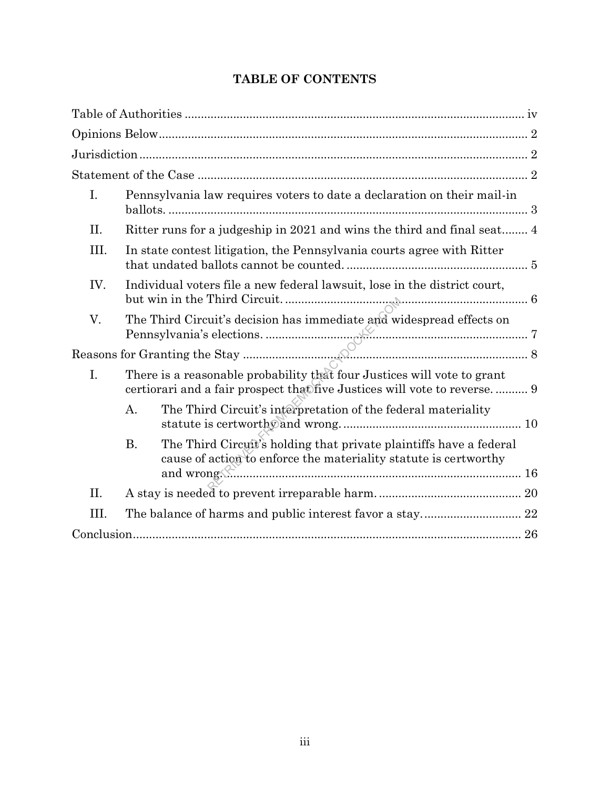## **TABLE OF CONTENTS**

| I.   | Pennsylvania law requires voters to date a declaration on their mail-in                                                                                                                                                                  |  |
|------|------------------------------------------------------------------------------------------------------------------------------------------------------------------------------------------------------------------------------------------|--|
| II.  | Ritter runs for a judgeship in 2021 and wins the third and final seat 4                                                                                                                                                                  |  |
| III. | In state contest litigation, the Pennsylvania courts agree with Ritter                                                                                                                                                                   |  |
| IV.  | Individual voters file a new federal lawsuit, lose in the district court,                                                                                                                                                                |  |
| V.   | The Third Circuit's decision has immediate and widespread effects on<br>Pennsylvania's elections.                                                                                                                                        |  |
|      |                                                                                                                                                                                                                                          |  |
| I.   | There is a reasonable probability that four Justices will vote to grant<br>certiorari and a fair prospect that five Justices will vote to reverse 9                                                                                      |  |
|      | The Third Circuit's interpretation of the federal materiality<br>A.                                                                                                                                                                      |  |
|      | The Third Circuit's holding that private plaintiffs have a federal<br><b>B.</b><br>cause of action to enforce the materiality statute is certworthy                                                                                      |  |
| II.  | and wrong <del>(Kindiga and wrong and wrong and wrong and wrong and wrong and wrong and wrong and wrong and wrong and wrong and wrong and wrong and wrong and wrong and wrong and wrong and wrong and wrong and wrong and wrong an</del> |  |
| III. |                                                                                                                                                                                                                                          |  |
|      |                                                                                                                                                                                                                                          |  |
|      |                                                                                                                                                                                                                                          |  |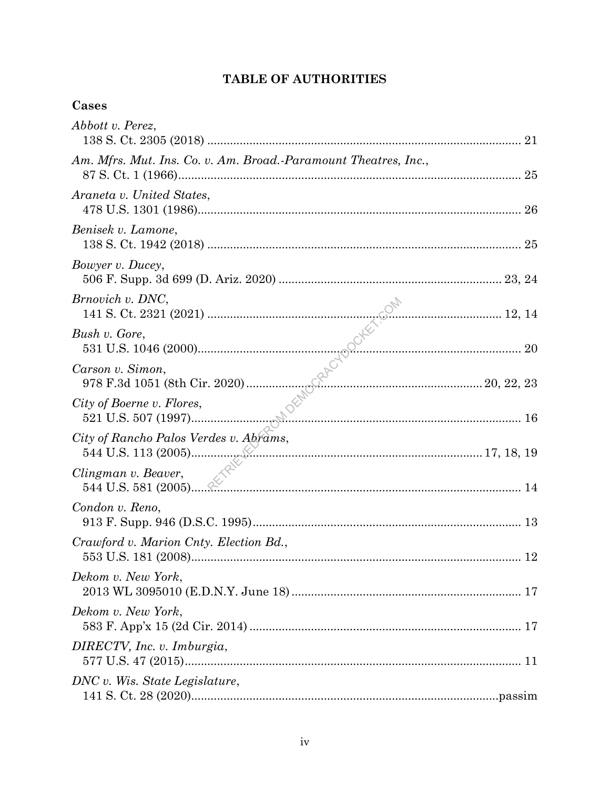## TABLE OF AUTHORITIES

## Cases

| Abbott v. Perez,                                                |    |
|-----------------------------------------------------------------|----|
| Am. Mfrs. Mut. Ins. Co. v. Am. Broad.-Paramount Theatres, Inc., |    |
| Araneta v. United States,                                       |    |
| Benisek v. Lamone,                                              |    |
| Bowyer v. Ducey,                                                |    |
| Brnovich v. DNC,                                                |    |
| Bush v. Gore,                                                   |    |
| Carson v. Simon,                                                |    |
| City of Boerne v. Flores,                                       |    |
| City of Rancho Palos Verdes v. Abrams,                          |    |
| Clingman v. Beaver,                                             |    |
| Condon v. Reno,                                                 |    |
| Crawford v. Marion Cnty. Election Bd.,                          | 12 |
| Dekom v. New York,                                              |    |
| Dekom v. New York,                                              |    |
| DIRECTV, Inc. v. Imburgia,                                      |    |
| DNC v. Wis. State Legislature,                                  |    |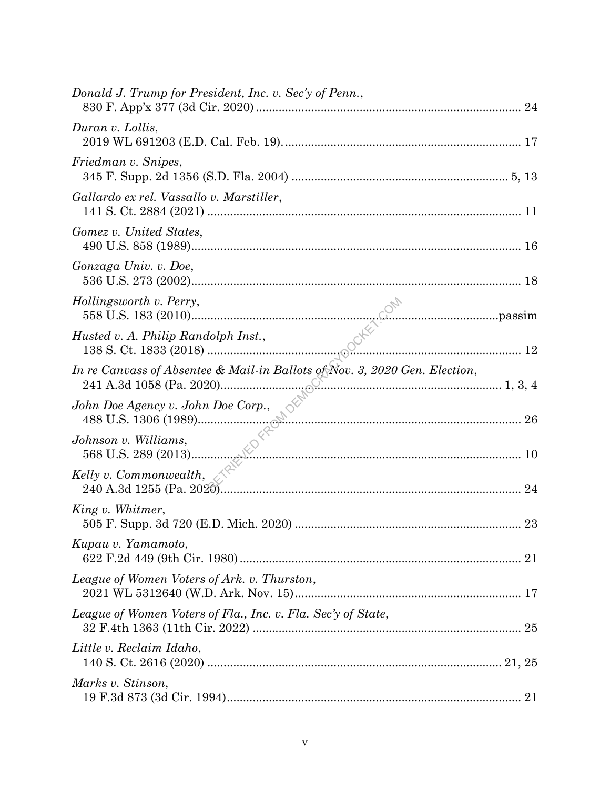| Donald J. Trump for President, Inc. v. Sec'y of Penn.,                                                         |  |
|----------------------------------------------------------------------------------------------------------------|--|
| Duran v. Lollis,                                                                                               |  |
| Friedman v. Snipes,                                                                                            |  |
| Gallardo ex rel. Vassallo v. Marstiller,                                                                       |  |
| Gomez v. United States,                                                                                        |  |
| Gonzaga Univ. v. Doe,                                                                                          |  |
| Hollingsworth v. Perry,                                                                                        |  |
| Husted v. A. Philip Randolph Inst.,                                                                            |  |
| In re Canvass of Absentee & Mail-in Ballots of Nov. 3, 2020 Gen. Election,                                     |  |
|                                                                                                                |  |
| $\frac{1}{26}$<br>$\frac{568 \text{ U.S. } 289 \text{ (2013)}}{10}$<br>$\frac{26}{10}$<br>Johnson v. Williams, |  |
| Kelly v. Commonwealth, $\mathcal{L}$                                                                           |  |
| King v. Whitmer,                                                                                               |  |
| Kupau v. Yamamoto,                                                                                             |  |
| League of Women Voters of Ark. v. Thurston,                                                                    |  |
| League of Women Voters of Fla., Inc. v. Fla. Sec'y of State,                                                   |  |
| Little v. Reclaim Idaho,                                                                                       |  |
| Marks v. Stinson,                                                                                              |  |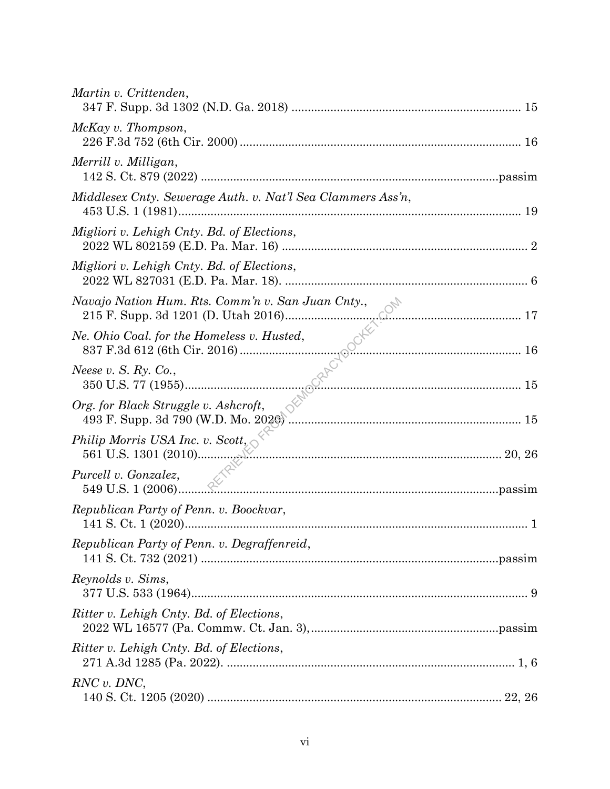| Martin v. Crittenden,                                                                     |  |
|-------------------------------------------------------------------------------------------|--|
| McKay v. Thompson,                                                                        |  |
| Merrill v. Milligan,                                                                      |  |
| Middlesex Cnty. Sewerage Auth. v. Nat'l Sea Clammers Ass'n,                               |  |
| Migliori v. Lehigh Cnty. Bd. of Elections,                                                |  |
| Migliori v. Lehigh Cnty. Bd. of Elections,                                                |  |
| Navajo Nation Hum. Rts. Comm'n v. San Juan Cnty.,<br>215 F. Supp. 3d 1201 (D. Utah 2016). |  |
| Ne. Ohio Coal. for the Homeless v. Husted,                                                |  |
| Neese v. S. Ry. Co.,                                                                      |  |
| Org. for Black Struggle v. Ashcroft,                                                      |  |
| Philip Morris USA Inc. v. Scott, $\Diamond^{\forall}$<br>561 U.S. 1301 (2010)             |  |
| Purcell v. Gonzalez,                                                                      |  |
| Republican Party of Penn. v. Boockvar,                                                    |  |
| Republican Party of Penn. v. Degraffenreid,                                               |  |
| Reynolds v. Sims,                                                                         |  |
| Ritter v. Lehigh Cnty. Bd. of Elections,                                                  |  |
| Ritter v. Lehigh Cnty. Bd. of Elections,                                                  |  |
| RNC v. DNC,                                                                               |  |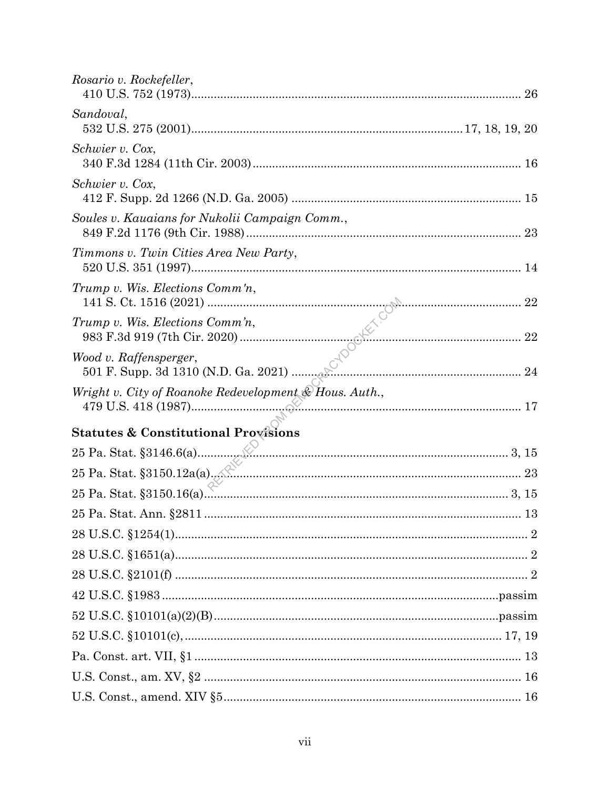| Rosario v. Rockefeller,                                |    |
|--------------------------------------------------------|----|
| Sandoval,                                              |    |
| Schwier v. Cox,                                        |    |
| Schwier v. Cox,                                        |    |
| Soules v. Kauaians for Nukolii Campaign Comm.,         |    |
| Timmons v. Twin Cities Area New Party,                 | 14 |
| Trump v. Wis. Elections Comm'n,                        |    |
| $Trump$ v. Wis. Elections $Comm'n$ ,                   |    |
| Wood v. Raffensperger,                                 |    |
| Wright v. City of Roanoke Redevelopment & Hous. Auth., |    |
| <b>Statutes &amp; Constitutional Provisions</b>        |    |
|                                                        |    |
|                                                        |    |
|                                                        |    |
|                                                        |    |
|                                                        |    |
|                                                        |    |
|                                                        |    |
|                                                        |    |
|                                                        |    |
|                                                        |    |
|                                                        |    |
|                                                        |    |
|                                                        |    |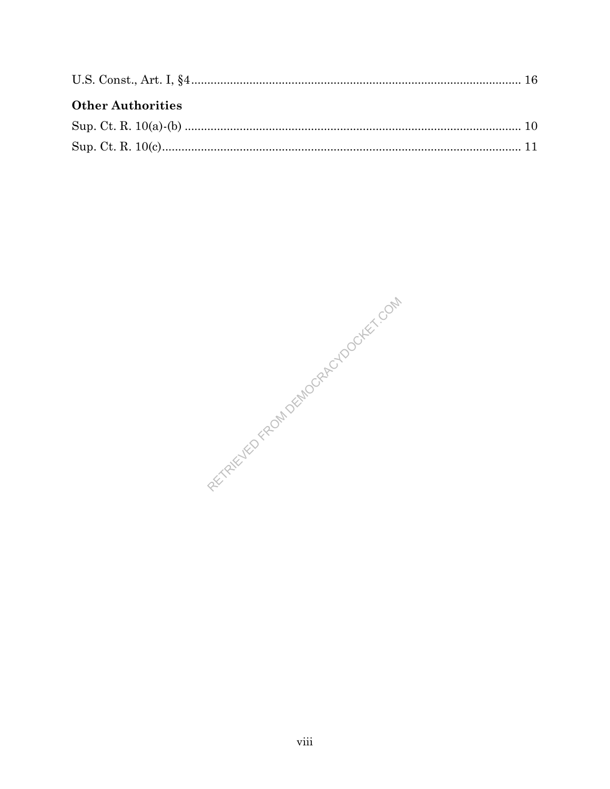| <b>Other Authorities</b> |  |
|--------------------------|--|
|                          |  |
|                          |  |

RETAINED FROM DEMOGRAPHOOCKET COM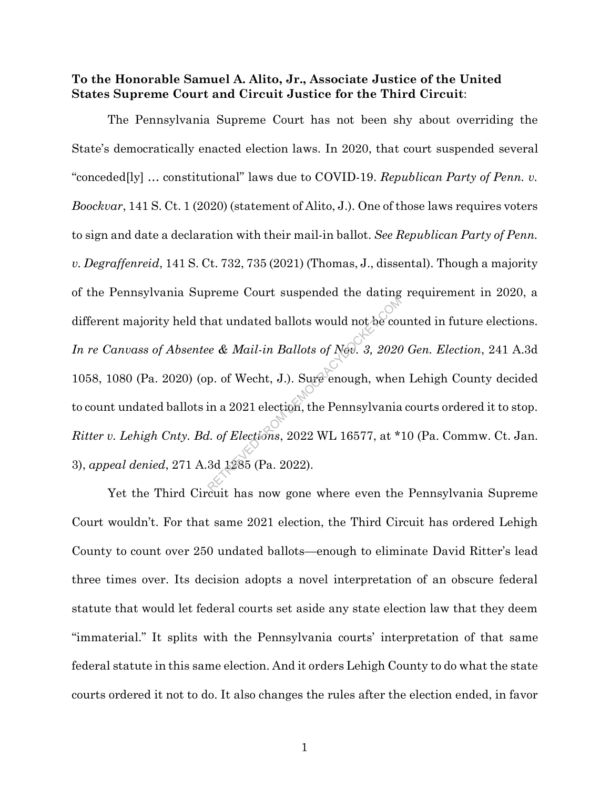#### **To the Honorable Samuel A. Alito, Jr., Associate Justice of the United States Supreme Court and Circuit Justice for the Third Circuit**:

The Pennsylvania Supreme Court has not been shy about overriding the State's democratically enacted election laws. In 2020, that court suspended several "conceded[ly] … constitutional" laws due to COVID-19. *Republican Party of Penn. v. Boockvar*, 141 S. Ct. 1 (2020) (statement of Alito, J.). One of those laws requires voters to sign and date a declaration with their mail-in ballot. *See Republican Party of Penn. v. Degraffenreid*, 141 S. Ct. 732, 735 (2021) (Thomas, J., dissental). Though a majority of the Pennsylvania Supreme Court suspended the dating requirement in 2020, a different majority held that undated ballots would not be counted in future elections. *In re Canvass of Absentee & Mail-in Ballots of Nov. 3, 2020 Gen. Election*, 241 A.3d 1058, 1080 (Pa. 2020) (op. of Wecht, J.). Sure enough, when Lehigh County decided to count undated ballots in a 2021 election, the Pennsylvania courts ordered it to stop. *Ritter v. Lehigh Cnty. Bd. of Elections*, 2022 WL 16577, at \*10 (Pa. Commw. Ct. Jan. 3), *appeal denied*, 271 A.3d 1285 (Pa. 2022). at undated ballots would not be covered and the mail of Nov. 3, 2020<br>p. of Wecht, J.). Sure enough, where the analytical election, the Pennsylvania<br>d. of Elections, 2022 WL 16577, at \*

Yet the Third Circuit has now gone where even the Pennsylvania Supreme Court wouldn't. For that same 2021 election, the Third Circuit has ordered Lehigh County to count over 250 undated ballots—enough to eliminate David Ritter's lead three times over. Its decision adopts a novel interpretation of an obscure federal statute that would let federal courts set aside any state election law that they deem "immaterial." It splits with the Pennsylvania courts' interpretation of that same federal statute in this same election. And it orders Lehigh County to do what the state courts ordered it not to do. It also changes the rules after the election ended, in favor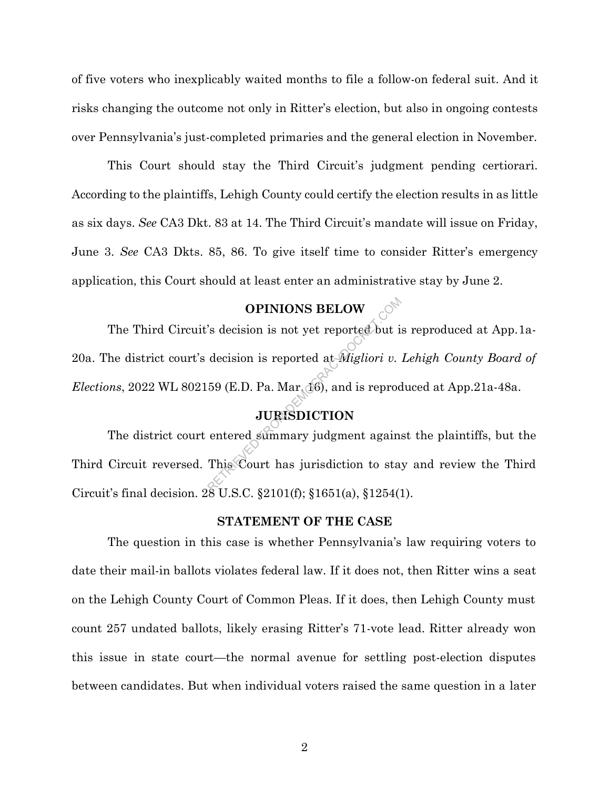of five voters who inexplicably waited months to file a follow-on federal suit. And it risks changing the outcome not only in Ritter's election, but also in ongoing contests over Pennsylvania's just-completed primaries and the general election in November.

This Court should stay the Third Circuit's judgment pending certiorari. According to the plaintiffs, Lehigh County could certify the election results in as little as six days. *See* CA3 Dkt. 83 at 14. The Third Circuit's mandate will issue on Friday, June 3. *See* CA3 Dkts. 85, 86. To give itself time to consider Ritter's emergency application, this Court should at least enter an administrative stay by June 2.

## **OPINIONS BELOW**

The Third Circuit's decision is not yet reported but is reproduced at App.1a-20a. The district court's decision is reported at *Migliori v. Lehigh County Board of Elections*, 2022 WL 802159 (E.D. Pa. Mar. 16), and is reproduced at App. 21a-48a. **OPINIONS BELOW**<br>
Solution is not yet reported but if<br>
decision is reported at *Migliori v.*<br>
59 (E.D. Pa. Mar<sub>t</sub> 16), and is reprod<br> **JURISDICTION**<br>
entered summary judgment again.<br>
This Court has jurisdiction to sta

### **JURISDICTION**

The district court entered summary judgment against the plaintiffs, but the Third Circuit reversed. This Court has jurisdiction to stay and review the Third Circuit's final decision. 28 U.S.C. §2101(f); §1651(a), §1254(1).

#### **STATEMENT OF THE CASE**

The question in this case is whether Pennsylvania's law requiring voters to date their mail-in ballots violates federal law. If it does not, then Ritter wins a seat on the Lehigh County Court of Common Pleas. If it does, then Lehigh County must count 257 undated ballots, likely erasing Ritter's 71-vote lead. Ritter already won this issue in state court—the normal avenue for settling post-election disputes between candidates. But when individual voters raised the same question in a later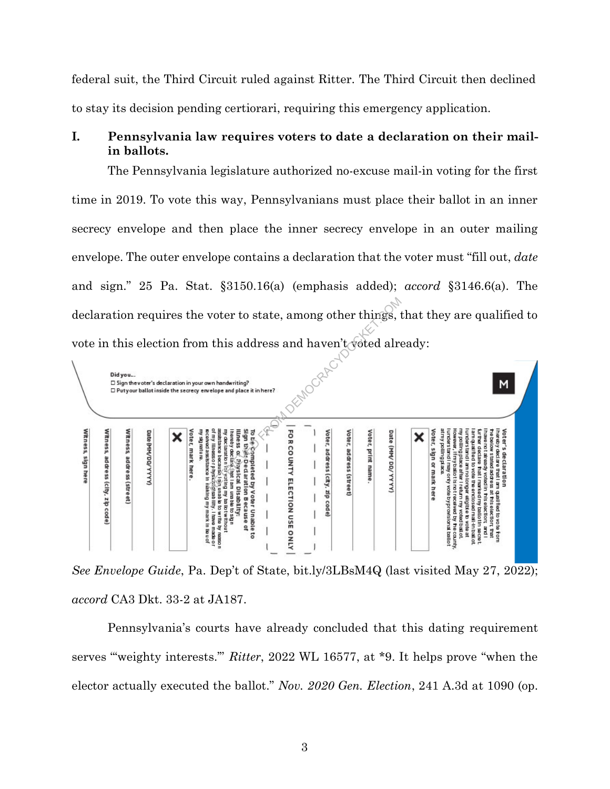federal suit, the Third Circuit ruled against Ritter. The Third Circuit then declined to stay its decision pending certiorari, requiring this emergency application.

### **I. Pennsylvania law requires voters to date a declaration on their mailin ballots.**

The Pennsylvania legislature authorized no-excuse mail-in voting for the first time in 2019. To vote this way, Pennsylvanians must place their ballot in an inner secrecy envelope and then place the inner secrecy envelope in an outer mailing envelope. The outer envelope contains a declaration that the voter must "fill out, *date* and sign." 25 Pa. Stat. §3150.16(a) (emphasis added); *accord* §3146.6(a). The declaration requires the voter to state, among other things, that they are qualified to vote in this election from this address and haven't voted already:



*See Envelope Guide*, Pa. Dep't of State, bit.ly/3LBsM4Q (last visited May 27, 2022); *accord* CA3 Dkt. 33-2 at JA187.

Pennsylvania's courts have already concluded that this dating requirement serves "'weighty interests.'" *Ritter*, 2022 WL 16577, at \*9. It helps prove "when the elector actually executed the ballot." *Nov. 2020 Gen. Election*, 241 A.3d at 1090 (op.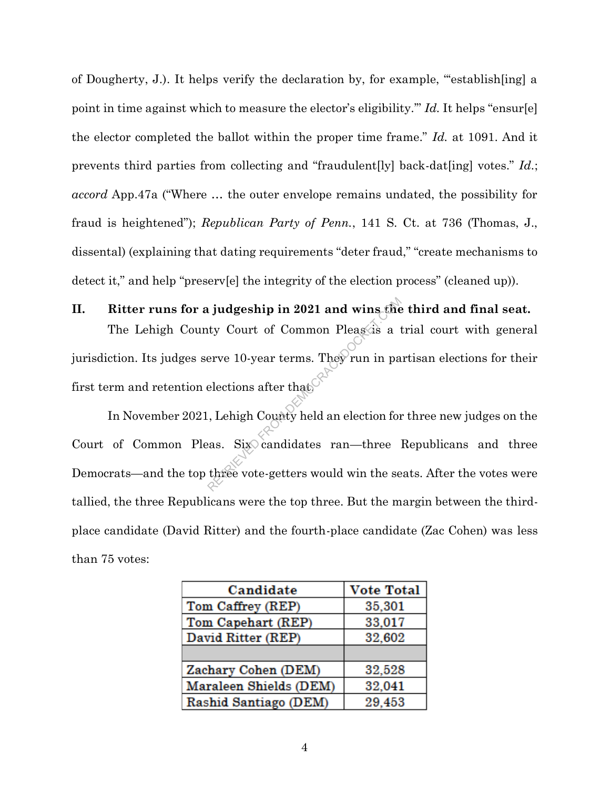of Dougherty, J.). It helps verify the declaration by, for example, "'establish[ing] a point in time against which to measure the elector's eligibility.'" *Id.* It helps "ensur[e] the elector completed the ballot within the proper time frame." *Id.* at 1091. And it prevents third parties from collecting and "fraudulent[ly] back-dat[ing] votes." *Id.*; *accord* App.47a ("Where … the outer envelope remains undated, the possibility for fraud is heightened"); *Republican Party of Penn.*, 141 S. Ct. at 736 (Thomas, J., dissental) (explaining that dating requirements "deter fraud," "create mechanisms to detect it," and help "preserv[e] the integrity of the election process" (cleaned up)).

**II. Ritter runs for a judgeship in 2021 and wins the third and final seat.** The Lehigh County Court of Common Pleas is a trial court with general jurisdiction. Its judges serve 10-year terms. They run in partisan elections for their first term and retention elections after that. indicaty Court of Common Pleasais a term of Common Pleasais a term in particular terms. They run in particular elections after that that the county held an election for the seas. Six candidates ran—three iterate vote-gette

In November 2021, Lehigh County held an election for three new judges on the Court of Common Pleas. Six candidates ran—three Republicans and three Democrats—and the top three vote-getters would win the seats. After the votes were tallied, the three Republicans were the top three. But the margin between the thirdplace candidate (David Ritter) and the fourth-place candidate (Zac Cohen) was less than 75 votes:

| Candidate              | <b>Vote Total</b> |
|------------------------|-------------------|
| Tom Caffrey (REP)      | 35,301            |
| Tom Capehart (REP)     | 33,017            |
| David Ritter (REP)     | 32,602            |
|                        |                   |
| Zachary Cohen (DEM)    | 32,528            |
| Maraleen Shields (DEM) | 32,041            |
| Rashid Santiago (DEM)  | 29,453            |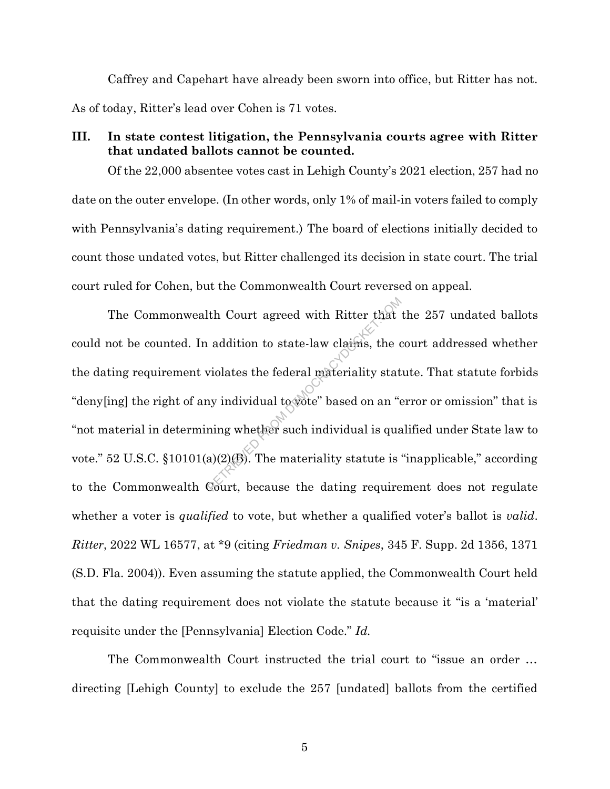Caffrey and Capehart have already been sworn into office, but Ritter has not. As of today, Ritter's lead over Cohen is 71 votes.

#### **III. In state contest litigation, the Pennsylvania courts agree with Ritter that undated ballots cannot be counted.**

Of the 22,000 absentee votes cast in Lehigh County's 2021 election, 257 had no date on the outer envelope. (In other words, only 1% of mail-in voters failed to comply with Pennsylvania's dating requirement.) The board of elections initially decided to count those undated votes, but Ritter challenged its decision in state court. The trial court ruled for Cohen, but the Commonwealth Court reversed on appeal.

The Commonwealth Court agreed with Ritter that the 257 undated ballots could not be counted. In addition to state-law claims, the court addressed whether the dating requirement violates the federal materiality statute. That statute forbids "deny[ing] the right of any individual to vote" based on an "error or omission" that is "not material in determining whether such individual is qualified under State law to vote." 52 U.S.C. §10101(a)(2)(B). The materiality statute is "inapplicable," according to the Commonwealth Court, because the dating requirement does not regulate whether a voter is *qualified* to vote, but whether a qualified voter's ballot is *valid*. *Ritter*, 2022 WL 16577, at \*9 (citing *Friedman v. Snipes*, 345 F. Supp. 2d 1356, 1371 (S.D. Fla. 2004)). Even assuming the statute applied, the Commonwealth Court held that the dating requirement does not violate the statute because it "is a 'material' requisite under the [Pennsylvania] Election Code." *Id.* Ith Court agreed with Ritter that<br>addition to state-law claims, the coviolates the federal materiality stat<br>ny individual to vote" based on an "e<br>ning whether such individual is qua<br>a)(2)(B). The materiality statute is<br>Co

The Commonwealth Court instructed the trial court to "issue an order … directing [Lehigh County] to exclude the 257 [undated] ballots from the certified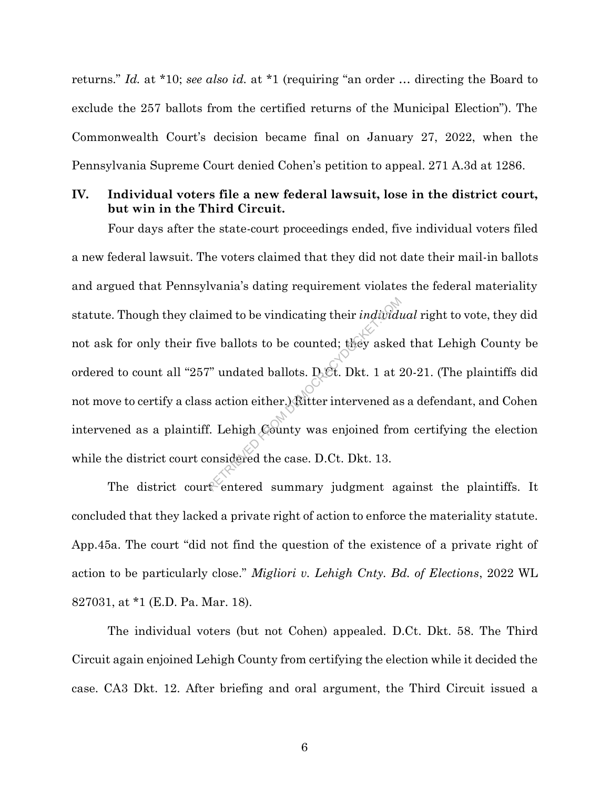returns." *Id.* at \*10; *see also id.* at \*1 (requiring "an order … directing the Board to exclude the 257 ballots from the certified returns of the Municipal Election"). The Commonwealth Court's decision became final on January 27, 2022, when the Pennsylvania Supreme Court denied Cohen's petition to appeal. 271 A.3d at 1286.

#### **IV. Individual voters file a new federal lawsuit, lose in the district court, but win in the Third Circuit.**

Four days after the state-court proceedings ended, five individual voters filed a new federal lawsuit. The voters claimed that they did not date their mail-in ballots and argued that Pennsylvania's dating requirement violates the federal materiality statute. Though they claimed to be vindicating their *individual* right to vote, they did not ask for only their five ballots to be counted; they asked that Lehigh County be ordered to count all "257" undated ballots. D.Ct. Dkt. 1 at 20-21. (The plaintiffs did not move to certify a class action either.) Ritter intervened as a defendant, and Cohen intervened as a plaintiff. Lehigh County was enjoined from certifying the election while the district court considered the case. D.Ct. Dkt. 13. From their *individuds*<br>
Represented: they asked<br>
Retrieved ballots. D.Ct. Dkt. 1 at 2<br>
Respectively as action either.)<br>
Referred as action was enjoined from the case. D.Ct. Dkt. 13.<br>
Referred summary judgment as

The district court entered summary judgment against the plaintiffs. It concluded that they lacked a private right of action to enforce the materiality statute. App.45a. The court "did not find the question of the existence of a private right of action to be particularly close." *Migliori v. Lehigh Cnty. Bd. of Elections*, 2022 WL 827031, at \*1 (E.D. Pa. Mar. 18).

The individual voters (but not Cohen) appealed. D.Ct. Dkt. 58. The Third Circuit again enjoined Lehigh County from certifying the election while it decided the case. CA3 Dkt. 12. After briefing and oral argument, the Third Circuit issued a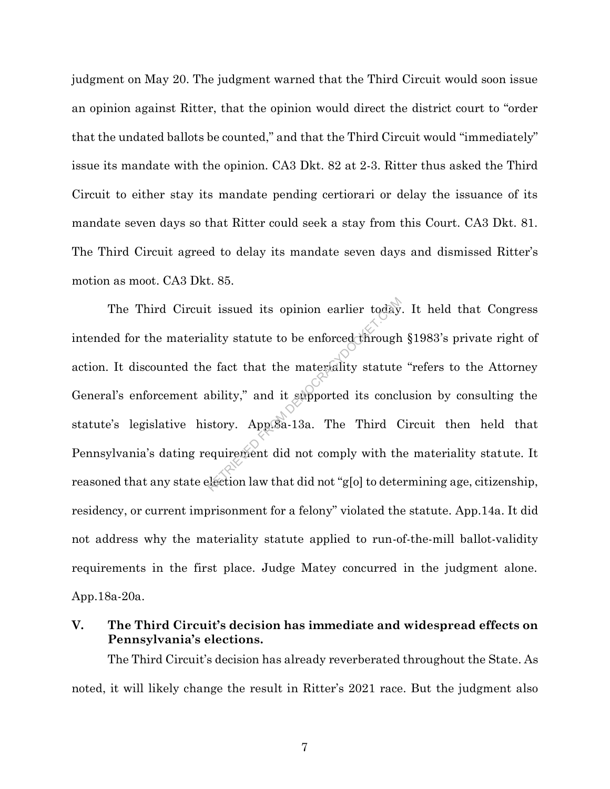judgment on May 20. The judgment warned that the Third Circuit would soon issue an opinion against Ritter, that the opinion would direct the district court to "order that the undated ballots be counted," and that the Third Circuit would "immediately" issue its mandate with the opinion. CA3 Dkt. 82 at 2-3. Ritter thus asked the Third Circuit to either stay its mandate pending certiorari or delay the issuance of its mandate seven days so that Ritter could seek a stay from this Court. CA3 Dkt. 81. The Third Circuit agreed to delay its mandate seven days and dismissed Ritter's motion as moot. CA3 Dkt. 85.

The Third Circuit issued its opinion earlier today. It held that Congress intended for the materiality statute to be enforced through §1983's private right of action. It discounted the fact that the materiality statute "refers to the Attorney General's enforcement ability," and it supported its conclusion by consulting the statute's legislative history. App.8a-13a. The Third Circuit then held that Pennsylvania's dating requirement did not comply with the materiality statute. It reasoned that any state election law that did not "g[o] to determining age, citizenship, residency, or current imprisonment for a felony" violated the statute. App.14a. It did not address why the materiality statute applied to run-of-the-mill ballot-validity requirements in the first place. Judge Matey concurred in the judgment alone. App.18a-20a. t issued its opinion earlier today<br>ality statute to be enforced through<br>e fact that the materiality statute<br>ability," and it supported its concl<br>story. App.Sa-13a. The Third (<br>equirement did not comply with the<br>dection law

**V. The Third Circuit's decision has immediate and widespread effects on Pennsylvania's elections.**

The Third Circuit's decision has already reverberated throughout the State. As noted, it will likely change the result in Ritter's 2021 race. But the judgment also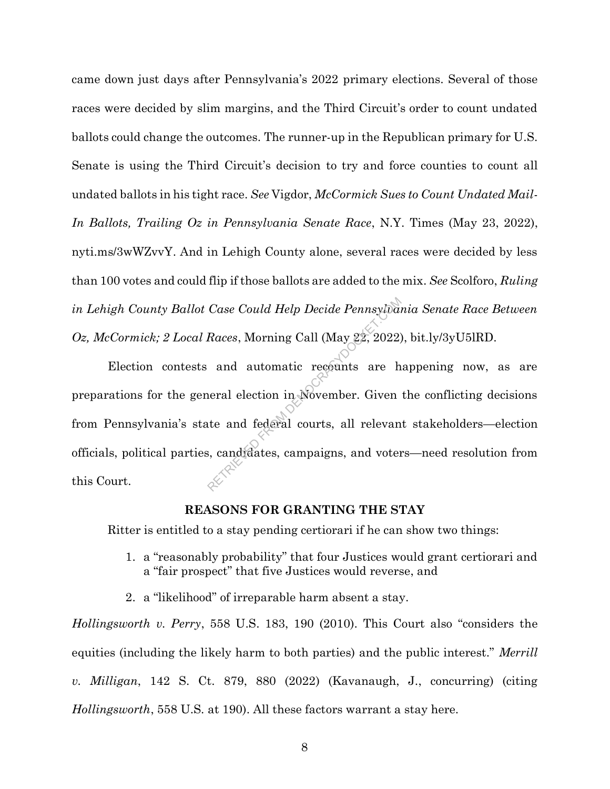came down just days after Pennsylvania's 2022 primary elections. Several of those races were decided by slim margins, and the Third Circuit's order to count undated ballots could change the outcomes. The runner-up in the Republican primary for U.S. Senate is using the Third Circuit's decision to try and force counties to count all undated ballots in his tight race. *See* Vigdor, *McCormick Sues to Count Undated Mail-In Ballots, Trailing Oz in Pennsylvania Senate Race*, N.Y. Times (May 23, 2022), nyti.ms/3wWZvvY. And in Lehigh County alone, several races were decided by less than 100 votes and could flip if those ballots are added to the mix. *See* Scolforo, *Ruling in Lehigh County Ballot Case Could Help Decide Pennsylvania Senate Race Between Oz, McCormick; 2 Local Races*, Morning Call (May 22, 2022), bit.ly/3yU5lRD.

Election contests and automatic recounts are happening now, as are preparations for the general election in November. Given the conflicting decisions from Pennsylvania's state and federal courts, all relevant stakeholders—election officials, political parties, candidates, campaigns, and voters—need resolution from this Court. Case Could Help Decide Pennsylvan<br>Races, Morning Call (May 22, 2022)<br>and automatic recounts are h<br>neral election in November. Given<br>te and federal courts, all relevan<br>s, candidates, campaigns, and voter

#### **REASONS FOR GRANTING THE STAY**

Ritter is entitled to a stay pending certiorari if he can show two things:

- 1. a "reasonably probability" that four Justices would grant certiorari and a "fair prospect" that five Justices would reverse, and
- 2. a "likelihood" of irreparable harm absent a stay.

*Hollingsworth v. Perry*, 558 U.S. 183, 190 (2010). This Court also "considers the equities (including the likely harm to both parties) and the public interest." *Merrill v. Milligan*, 142 S. Ct. 879, 880 (2022) (Kavanaugh, J., concurring) (citing *Hollingsworth*, 558 U.S. at 190). All these factors warrant a stay here.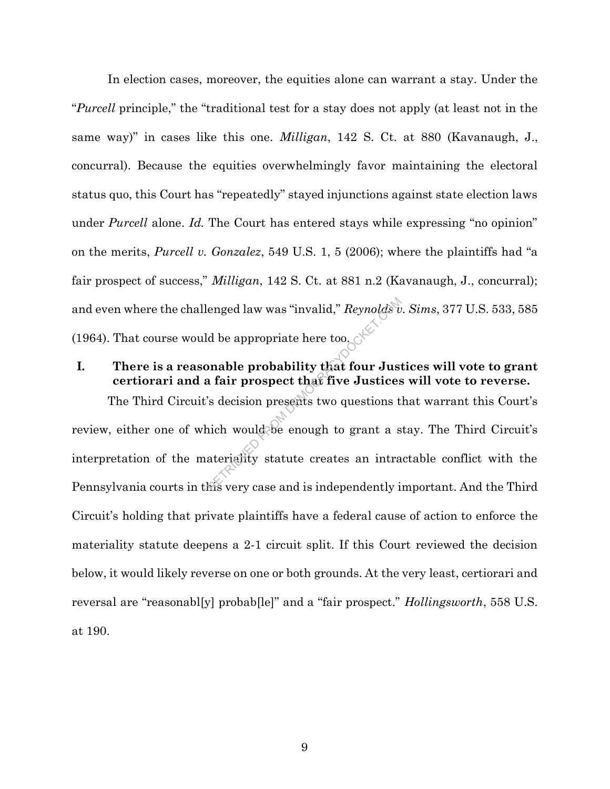In election cases, moreover, the equities alone can warrant a stay. Under the "*Purcell* principle," the "traditional test for a stay does not apply (at least not in the same way)" in cases like this one. *Milligan*, 142 S. Ct. at 880 (Kavanaugh, J., concurral). Because the equities overwhelmingly favor maintaining the electoral status quo, this Court has "repeatedly" stayed injunctions against state election laws under *Purcell* alone. *Id.* The Court has entered stays while expressing "no opinion" on the merits, *Purcell v. Gonzalez*, 549 U.S. 1, 5 (2006); where the plaintiffs had "a fair prospect of success," *Milligan*, 142 S. Ct. at 881 n.2 (Kavanaugh, J., concurral); and even where the challenged law was "invalid," *Reynolds v. Sims*, 377 U.S. 533, 585 (1964). That course would be appropriate here too.

## **I. There is a reasonable probability that four Justices will vote to grant certiorari and a fair prospect that five Justices will vote to reverse.**

The Third Circuit's decision presents two questions that warrant this Court's review, either one of which would be enough to grant a stay. The Third Circuit's interpretation of the materiality statute creates an intractable conflict with the Pennsylvania courts in this very case and is independently important. And the Third Circuit's holding that private plaintiffs have a federal cause of action to enforce the materiality statute deepens a 2-1 circuit split. If this Court reviewed the decision below, it would likely reverse on one or both grounds. At the very least, certiorari and reversal are "reasonabl[y] probab[le]" and a "fair prospect." *Hollingsworth*, 558 U.S. at 190. enged law was "invalid," Reynolds v<br>
d be appropriate here too.<br> **Solution Propriate Solution Strategy of Solution Strategy**<br>
Solution presents two questions to<br>
it include the enough to grant a s<br>
ateriality statute creat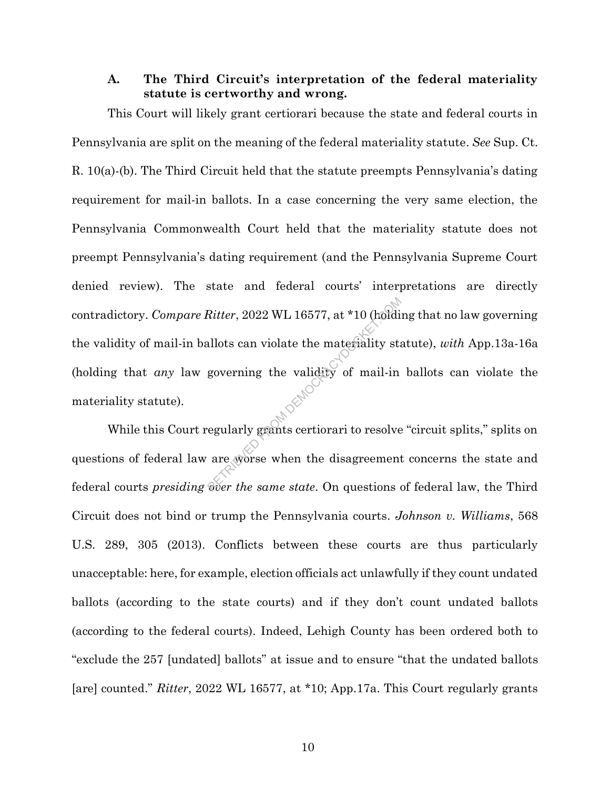#### **A. The Third Circuit's interpretation of the federal materiality statute is certworthy and wrong.**

This Court will likely grant certiorari because the state and federal courts in Pennsylvania are split on the meaning of the federal materiality statute. *See* Sup. Ct. R. 10(a)-(b). The Third Circuit held that the statute preempts Pennsylvania's dating requirement for mail-in ballots. In a case concerning the very same election, the Pennsylvania Commonwealth Court held that the materiality statute does not preempt Pennsylvania's dating requirement (and the Pennsylvania Supreme Court denied review). The state and federal courts' interpretations are directly contradictory. *Compare Ritter*, 2022 WL 16577, at \*10 (holding that no law governing the validity of mail-in ballots can violate the materiality statute), *with* App.13a-16a (holding that *any* law governing the validity of mail-in ballots can violate the materiality statute). Ritter, 2022 WL 16577, at \*10 (holdi<br>allots can violate the materiality stag<br>governing the validity of mail-in<br>egularly grants certiorari to resolve<br>are worse when the disagreement<br>over the same state. On questions

While this Court regularly grants certiorari to resolve "circuit splits," splits on questions of federal law are worse when the disagreement concerns the state and federal courts *presiding over the same state*. On questions of federal law, the Third Circuit does not bind or trump the Pennsylvania courts. *Johnson v. Williams*, 568 U.S. 289, 305 (2013). Conflicts between these courts are thus particularly unacceptable: here, for example, election officials act unlawfully if they count undated ballots (according to the state courts) and if they don't count undated ballots (according to the federal courts). Indeed, Lehigh County has been ordered both to "exclude the 257 [undated] ballots" at issue and to ensure "that the undated ballots [are] counted." *Ritter*, 2022 WL 16577, at \*10; App.17a. This Court regularly grants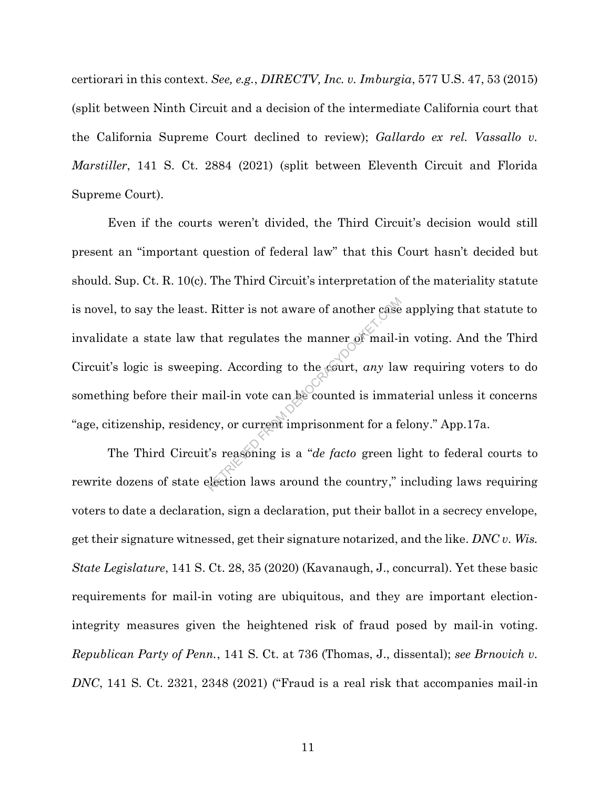certiorari in this context. *See, e.g.*, *DIRECTV, Inc. v. Imburgia*, 577 U.S. 47, 53 (2015) (split between Ninth Circuit and a decision of the intermediate California court that the California Supreme Court declined to review); *Gallardo ex rel. Vassallo v. Marstiller*, 141 S. Ct. 2884 (2021) (split between Eleventh Circuit and Florida Supreme Court).

Even if the courts weren't divided, the Third Circuit's decision would still present an "important question of federal law" that this Court hasn't decided but should. Sup. Ct. R. 10(c). The Third Circuit's interpretation of the materiality statute is novel, to say the least. Ritter is not aware of another case applying that statute to invalidate a state law that regulates the manner of mail-in voting. And the Third Circuit's logic is sweeping. According to the court, *any* law requiring voters to do something before their mail-in vote can be counted is immaterial unless it concerns "age, citizenship, residency, or current imprisonment for a felony." App.17a. Ritter is not aware of another case<br>hat regulates the manner of mail-i<br>ng. According to the court, *any* lav<br>nail-in vote can be counted is imma<br>ney, or current imprisonment for a factor<br>is reasoning is a *"de facto* green

The Third Circuit's reasoning is a "*de facto* green light to federal courts to rewrite dozens of state election laws around the country," including laws requiring voters to date a declaration, sign a declaration, put their ballot in a secrecy envelope, get their signature witnessed, get their signature notarized, and the like. *DNC v. Wis. State Legislature*, 141 S. Ct. 28, 35 (2020) (Kavanaugh, J., concurral). Yet these basic requirements for mail-in voting are ubiquitous, and they are important electionintegrity measures given the heightened risk of fraud posed by mail-in voting. *Republican Party of Penn.*, 141 S. Ct. at 736 (Thomas, J., dissental); *see Brnovich v. DNC*, 141 S. Ct. 2321, 2348 (2021) ("Fraud is a real risk that accompanies mail-in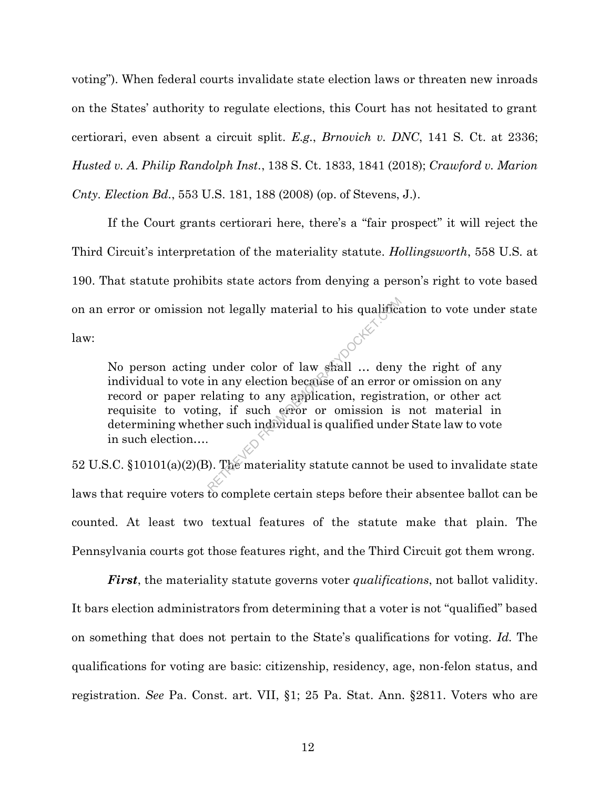voting"). When federal courts invalidate state election laws or threaten new inroads on the States' authority to regulate elections, this Court has not hesitated to grant certiorari, even absent a circuit split. *E.g.*, *Brnovich v. DNC*, 141 S. Ct. at 2336; *Husted v. A. Philip Randolph Inst.*, 138 S. Ct. 1833, 1841 (2018); *Crawford v. Marion Cnty. Election Bd.*, 553 U.S. 181, 188 (2008) (op. of Stevens, J.).

If the Court grants certiorari here, there's a "fair prospect" it will reject the Third Circuit's interpretation of the materiality statute. *Hollingsworth*, 558 U.S. at 190. That statute prohibits state actors from denying a person's right to vote based on an error or omission not legally material to his qualification to vote under state

law:

No person acting under color of law shall … deny the right of any individual to vote in any election because of an error or omission on any record or paper relating to any application, registration, or other act requisite to voting, if such error or omission is not material in determining whether such individual is qualified under State law to vote in such election…. not legally material to his qualification<br>
under color of law shall ... deny<br>
in any election because of an error c<br>
elating to any application, registra<br>
ng, if such error or omission is<br>
her such individual is qualified

52 U.S.C. §10101(a)(2)(B). The materiality statute cannot be used to invalidate state laws that require voters to complete certain steps before their absentee ballot can be counted. At least two textual features of the statute make that plain. The Pennsylvania courts got those features right, and the Third Circuit got them wrong.

*First*, the materiality statute governs voter *qualifications*, not ballot validity. It bars election administrators from determining that a voter is not "qualified" based on something that does not pertain to the State's qualifications for voting. *Id.* The qualifications for voting are basic: citizenship, residency, age, non-felon status, and registration. *See* Pa. Const. art. VII, §1; 25 Pa. Stat. Ann. §2811. Voters who are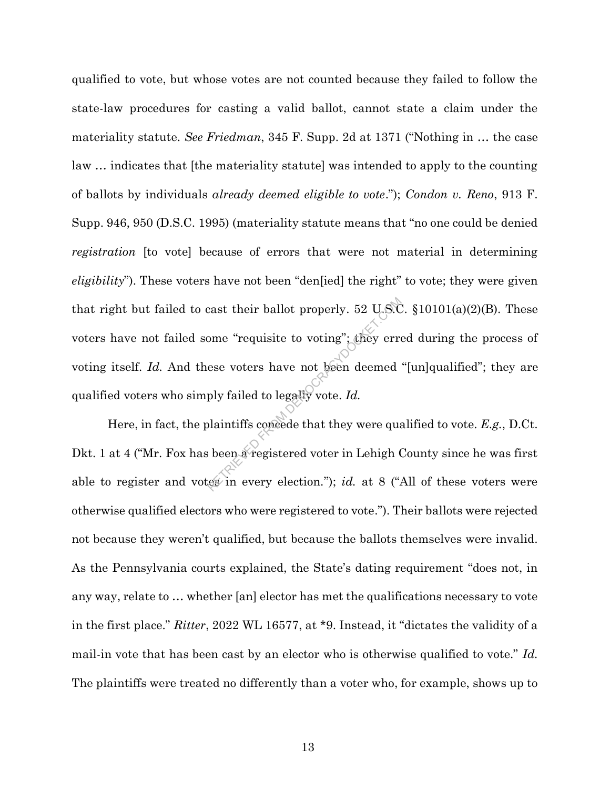qualified to vote, but whose votes are not counted because they failed to follow the state-law procedures for casting a valid ballot, cannot state a claim under the materiality statute. *See Friedman*, 345 F. Supp. 2d at 1371 ("Nothing in … the case law … indicates that [the materiality statute] was intended to apply to the counting of ballots by individuals *already deemed eligible to vote*."); *Condon v. Reno*, 913 F. Supp. 946, 950 (D.S.C. 1995) (materiality statute means that "no one could be denied *registration* [to vote] because of errors that were not material in determining *eligibility*"). These voters have not been "den[ied] the right" to vote; they were given that right but failed to cast their ballot properly. 52 U.S.C. §10101(a)(2)(B). These voters have not failed some "requisite to voting"; they erred during the process of voting itself. *Id*. And these voters have not been deemed "[un]qualified"; they are qualified voters who simply failed to legally vote. *Id.* cast their ballot properly. 52 U.S.Come "requisite to voting"; they errors<br>ese voters have not been deemed<br>ply failed to legally vote. Id.<br>plaintiffs concede that they were quasi-<br>been a registered voter in Lehigh (essent

Here, in fact, the plaintiffs concede that they were qualified to vote. *E.g.*, D.Ct. Dkt. 1 at 4 ("Mr. Fox has been a registered voter in Lehigh County since he was first able to register and votes in every election."); *id.* at 8 ("All of these voters were otherwise qualified electors who were registered to vote."). Their ballots were rejected not because they weren't qualified, but because the ballots themselves were invalid. As the Pennsylvania courts explained, the State's dating requirement "does not, in any way, relate to … whether [an] elector has met the qualifications necessary to vote in the first place." *Ritter*, 2022 WL 16577, at \*9. Instead, it "dictates the validity of a mail-in vote that has been cast by an elector who is otherwise qualified to vote." *Id.* The plaintiffs were treated no differently than a voter who, for example, shows up to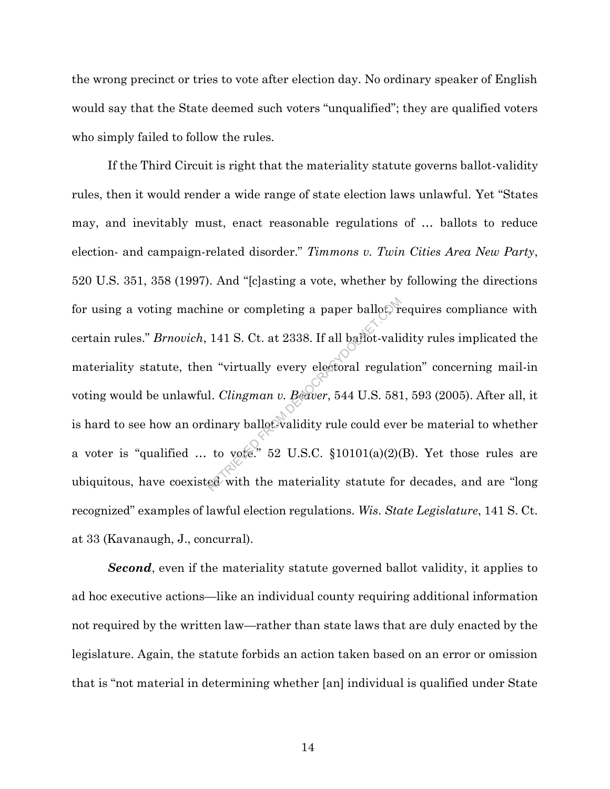the wrong precinct or tries to vote after election day. No ordinary speaker of English would say that the State deemed such voters "unqualified"; they are qualified voters who simply failed to follow the rules.

If the Third Circuit is right that the materiality statute governs ballot-validity rules, then it would render a wide range of state election laws unlawful. Yet "States may, and inevitably must, enact reasonable regulations of … ballots to reduce election- and campaign-related disorder." *Timmons v. Twin Cities Area New Party*, 520 U.S. 351, 358 (1997). And "[c]asting a vote, whether by following the directions for using a voting machine or completing a paper ballot, requires compliance with certain rules." *Brnovich*, 141 S. Ct. at 2338. If all ballot-validity rules implicated the materiality statute, then "virtually every electoral regulation" concerning mail-in voting would be unlawful. *Clingman v. Beaver*, 544 U.S. 581, 593 (2005). After all, it is hard to see how an ordinary ballot-validity rule could ever be material to whether a voter is "qualified ... to vote." 52 U.S.C.  $$10101(a)(2)(B)$ . Yet those rules are ubiquitous, have coexisted with the materiality statute for decades, and are "long recognized" examples of lawful election regulations. *Wis. State Legislature*, 141 S. Ct. at 33 (Kavanaugh, J., concurral). ine or completing a paper ballot.)<br>
141 S. Ct. at 2338. If all ballot-vali<br>
n "virtually every electoral regulat<br>
1. *Clingman v. Beaver*, 544 U.S. 581<br>
dinary ballot validity rule could every to vote.<br>
52 U.S.C. §10101(a

*Second*, even if the materiality statute governed ballot validity, it applies to ad hoc executive actions—like an individual county requiring additional information not required by the written law—rather than state laws that are duly enacted by the legislature. Again, the statute forbids an action taken based on an error or omission that is "not material in determining whether [an] individual is qualified under State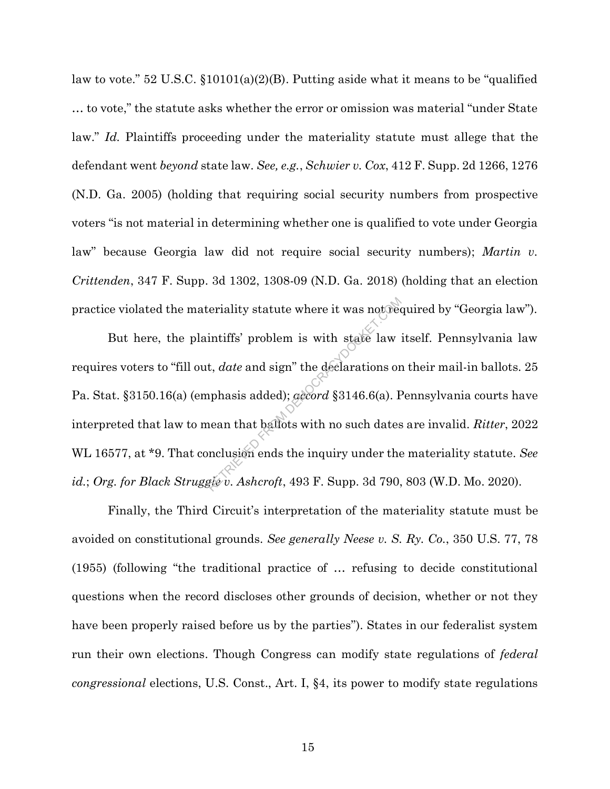law to vote." 52 U.S.C. §10101(a)(2)(B). Putting aside what it means to be "qualified … to vote," the statute asks whether the error or omission was material "under State law." *Id.* Plaintiffs proceeding under the materiality statute must allege that the defendant went *beyond* state law. *See, e.g.*, *Schwier v. Cox*, 412 F. Supp. 2d 1266, 1276 (N.D. Ga. 2005) (holding that requiring social security numbers from prospective voters "is not material in determining whether one is qualified to vote under Georgia law" because Georgia law did not require social security numbers); *Martin v. Crittenden*, 347 F. Supp. 3d 1302, 1308-09 (N.D. Ga. 2018) (holding that an election practice violated the materiality statute where it was not required by "Georgia law").

But here, the plaintiffs' problem is with state law itself. Pennsylvania law requires voters to "fill out, *date* and sign" the declarations on their mail-in ballots. 25 Pa. Stat. §3150.16(a) (emphasis added); *accord* §3146.6(a). Pennsylvania courts have interpreted that law to mean that ballots with no such dates are invalid. *Ritter*, 2022 WL 16577, at \*9. That conclusion ends the inquiry under the materiality statute. *See id.*; *Org. for Black Struggle v. Ashcroft*, 493 F. Supp. 3d 790, 803 (W.D. Mo. 2020). Exerciality statute where it was not between<br>intiffs' problem is with state law<br>it, *date* and sign" the declarations or<br>uphasis added); *gecord* §3146.6(a). F<br>nean that ballots with no such dates<br>not be inquiry under the<br>

Finally, the Third Circuit's interpretation of the materiality statute must be avoided on constitutional grounds. *See generally Neese v. S. Ry. Co.*, 350 U.S. 77, 78 (1955) (following "the traditional practice of … refusing to decide constitutional questions when the record discloses other grounds of decision, whether or not they have been properly raised before us by the parties"). States in our federalist system run their own elections. Though Congress can modify state regulations of *federal congressional* elections, U.S. Const., Art. I, §4, its power to modify state regulations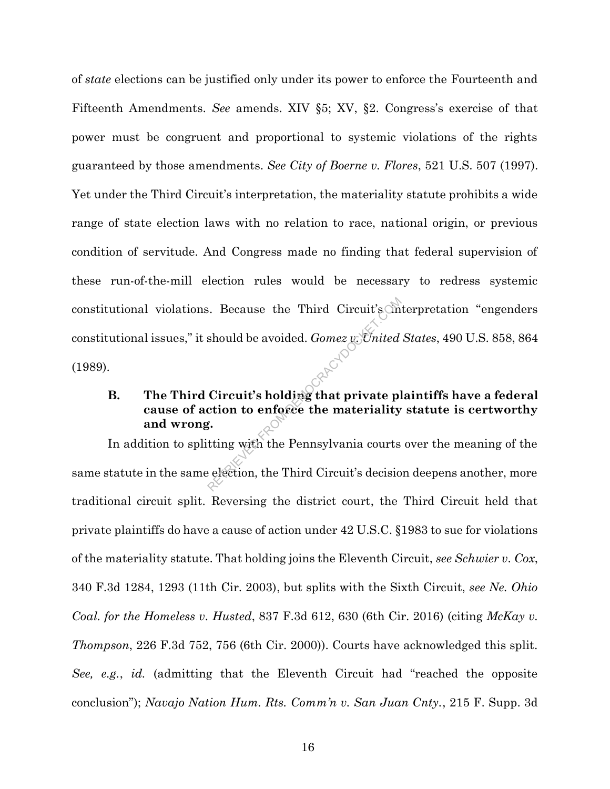of *state* elections can be justified only under its power to enforce the Fourteenth and Fifteenth Amendments. *See* amends. XIV §5; XV, §2. Congress's exercise of that power must be congruent and proportional to systemic violations of the rights guaranteed by those amendments. *See City of Boerne v. Flores*, 521 U.S. 507 (1997). Yet under the Third Circuit's interpretation, the materiality statute prohibits a wide range of state election laws with no relation to race, national origin, or previous condition of servitude. And Congress made no finding that federal supervision of these run-of-the-mill election rules would be necessary to redress systemic constitutional violations. Because the Third Circuit's interpretation "engenders" constitutional issues," it should be avoided. *Gomez v. United States*, 490 U.S. 858, 864 (1989). Recause the Third Circuit's in<br>should be avoided. *Gomez y*: United<br>Circuit's holding that private pletion to enforce the materiality<br>f.<br>tting with the Pennsylvania courts<br>election, the Third Circuit's decision

## **B. The Third Circuit's holding that private plaintiffs have a federal cause of action to enforce the materiality statute is certworthy and wrong.**

In addition to splitting with the Pennsylvania courts over the meaning of the same statute in the same election, the Third Circuit's decision deepens another, more traditional circuit split. Reversing the district court, the Third Circuit held that private plaintiffs do have a cause of action under 42 U.S.C. §1983 to sue for violations of the materiality statute. That holding joins the Eleventh Circuit, *see Schwier v. Cox*, 340 F.3d 1284, 1293 (11th Cir. 2003), but splits with the Sixth Circuit, *see Ne. Ohio Coal. for the Homeless v. Husted*, 837 F.3d 612, 630 (6th Cir. 2016) (citing *McKay v. Thompson*, 226 F.3d 752, 756 (6th Cir. 2000)). Courts have acknowledged this split. *See, e.g.*, *id.* (admitting that the Eleventh Circuit had "reached the opposite conclusion"); *Navajo Nation Hum. Rts. Comm'n v. San Juan Cnty.*, 215 F. Supp. 3d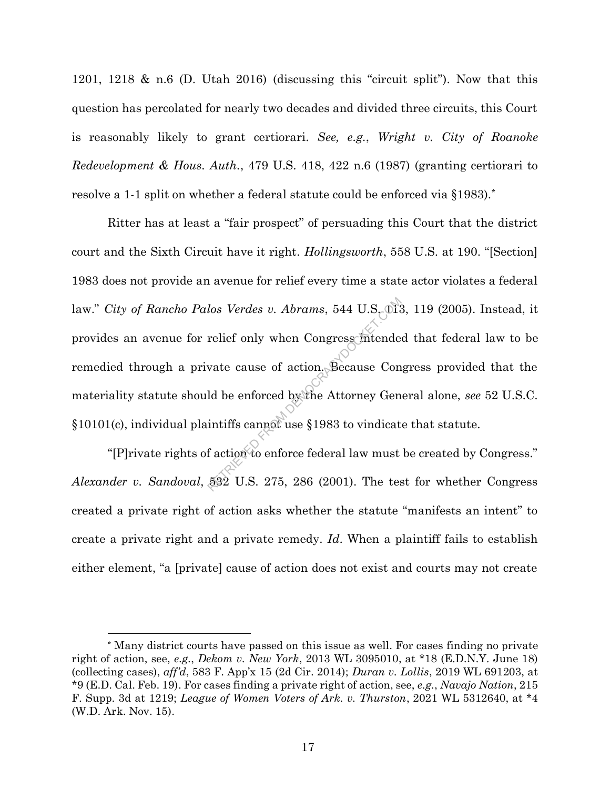1201, 1218 & n.6 (D. Utah 2016) (discussing this "circuit split"). Now that this question has percolated for nearly two decades and divided three circuits, this Court is reasonably likely to grant certiorari. *See, e.g.*, *Wright v. City of Roanoke Redevelopment & Hous. Auth.*, 479 U.S. 418, 422 n.6 (1987) (granting certiorari to resolve a 1-1 split on whether a federal statute could be enforced via §1983).\*

Ritter has at least a "fair prospect" of persuading this Court that the district court and the Sixth Circuit have it right. *Hollingsworth*, 558 U.S. at 190. "[Section] 1983 does not provide an avenue for relief every time a state actor violates a federal law." *City of Rancho Palos Verdes v. Abrams*, 544 U.S. 013, 119 (2005). Instead, it provides an avenue for relief only when Congress intended that federal law to be remedied through a private cause of action. Because Congress provided that the materiality statute should be enforced by the Attorney General alone, *see* 52 U.S.C. §10101(c), individual plaintiffs cannot use §1983 to vindicate that statute. los Verdes v. Abrams, 544 U.S. 01:<br>
relief only when Congress intende<br>
vate cause of action. Because Con<br>
ld be enforced by the Attorney Gen<br>
intiffs cannot use §1983 to vindicat<br>
f action to enforce federal law must<br>
532

"[P]rivate rights of action to enforce federal law must be created by Congress." *Alexander v. Sandoval*, 532 U.S. 275, 286 (2001). The test for whether Congress created a private right of action asks whether the statute "manifests an intent" to create a private right and a private remedy. *Id*. When a plaintiff fails to establish either element, "a [private] cause of action does not exist and courts may not create

<sup>\*</sup> Many district courts have passed on this issue as well. For cases finding no private right of action, see, *e.g.*, *Dekom v. New York*, 2013 WL 3095010, at \*18 (E.D.N.Y. June 18) (collecting cases), *aff'd*, 583 F. App'x 15 (2d Cir. 2014); *Duran v. Lollis*, 2019 WL 691203, at \*9 (E.D. Cal. Feb. 19). For cases finding a private right of action, see, *e.g.*, *Navajo Nation*, 215 F. Supp. 3d at 1219; *League of Women Voters of Ark. v. Thurston*, 2021 WL 5312640, at \*4 (W.D. Ark. Nov. 15).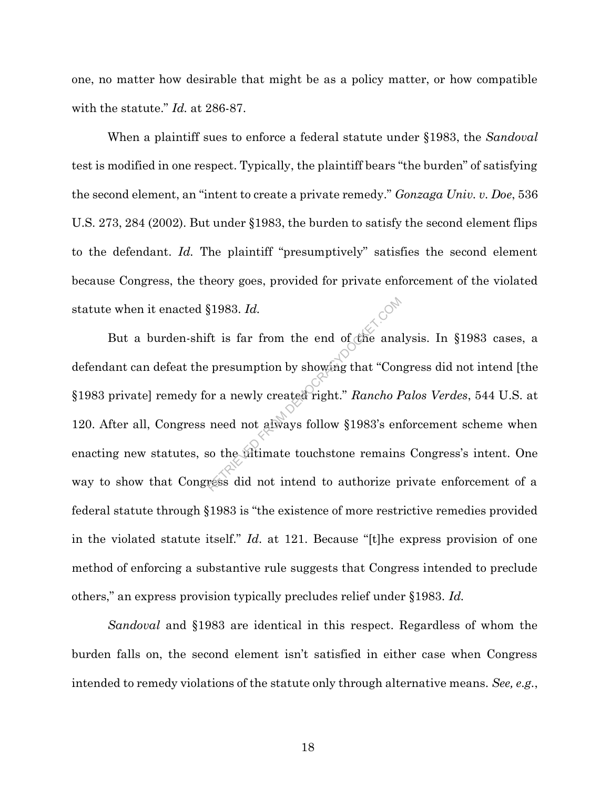one, no matter how desirable that might be as a policy matter, or how compatible with the statute." *Id.* at 286-87.

When a plaintiff sues to enforce a federal statute under §1983, the *Sandoval* test is modified in one respect. Typically, the plaintiff bears "the burden" of satisfying the second element, an "intent to create a private remedy." *Gonzaga Univ. v. Doe*, 536 U.S. 273, 284 (2002). But under §1983, the burden to satisfy the second element flips to the defendant. *Id.* The plaintiff "presumptively" satisfies the second element because Congress, the theory goes, provided for private enforcement of the violated statute when it enacted §1983. *Id.*

But a burden-shift is far from the end of the analysis. In §1983 cases, a defendant can defeat the presumption by showing that "Congress did not intend [the §1983 private] remedy for a newly created right." *Rancho Palos Verdes*, 544 U.S. at 120. After all, Congress need not always follow §1983's enforcement scheme when enacting new statutes, so the ultimate touchstone remains Congress's intent. One way to show that Congress did not intend to authorize private enforcement of a federal statute through §1983 is "the existence of more restrictive remedies provided in the violated statute itself." *Id.* at 121. Because "[t]he express provision of one method of enforcing a substantive rule suggests that Congress intended to preclude others," an express provision typically precludes relief under §1983. *Id.*  $R$  and the star from the end of the ana persumption by showing that "Continued not always follow  $\{1983\}$ " encode not always follow  $\{1983\}$ " encode the always follow  $\{1983\}$ " encode the altimate touch stone remai

*Sandoval* and §1983 are identical in this respect. Regardless of whom the burden falls on, the second element isn't satisfied in either case when Congress intended to remedy violations of the statute only through alternative means. *See, e.g.*,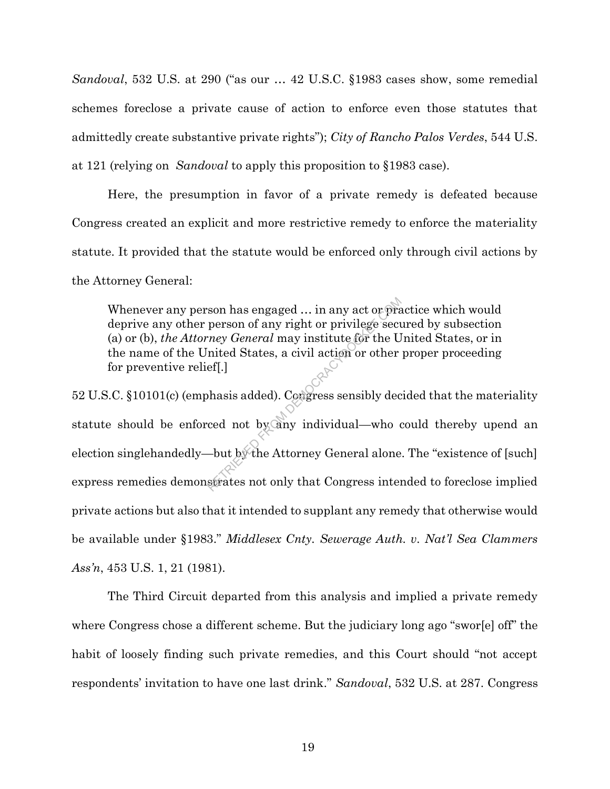*Sandoval*, 532 U.S. at 290 ("as our … 42 U.S.C. §1983 cases show, some remedial schemes foreclose a private cause of action to enforce even those statutes that admittedly create substantive private rights"); *City of Rancho Palos Verdes*, 544 U.S. at 121 (relying on *Sandoval* to apply this proposition to §1983 case).

Here, the presumption in favor of a private remedy is defeated because Congress created an explicit and more restrictive remedy to enforce the materiality statute. It provided that the statute would be enforced only through civil actions by the Attorney General:

Whenever any person has engaged … in any act or practice which would deprive any other person of any right or privilege secured by subsection (a) or (b), *the Attorney General* may institute for the United States, or in the name of the United States, a civil action or other proper proceeding for preventive relief[.]

52 U.S.C. §10101(c) (emphasis added). Congress sensibly decided that the materiality statute should be enforced not by any individual—who could thereby upend an election singlehandedly—but by the Attorney General alone. The "existence of [such] express remedies demonstrates not only that Congress intended to foreclose implied private actions but also that it intended to supplant any remedy that otherwise would be available under §1983." *Middlesex Cnty. Sewerage Auth. v. Nat'l Sea Clammers Ass'n*, 453 U.S. 1, 21 (1981). Son has engaged ... in any act or pract<br>person of any right or privilege securey *General* may institute for the U<br>nited States, a civil action or other<br>ef[.]<br>hasis added). Congress sensibly dec<br>ced not by any individual—w

The Third Circuit departed from this analysis and implied a private remedy where Congress chose a different scheme. But the judiciary long ago "swor[e] off" the habit of loosely finding such private remedies, and this Court should "not accept respondents' invitation to have one last drink." *Sandoval*, 532 U.S. at 287. Congress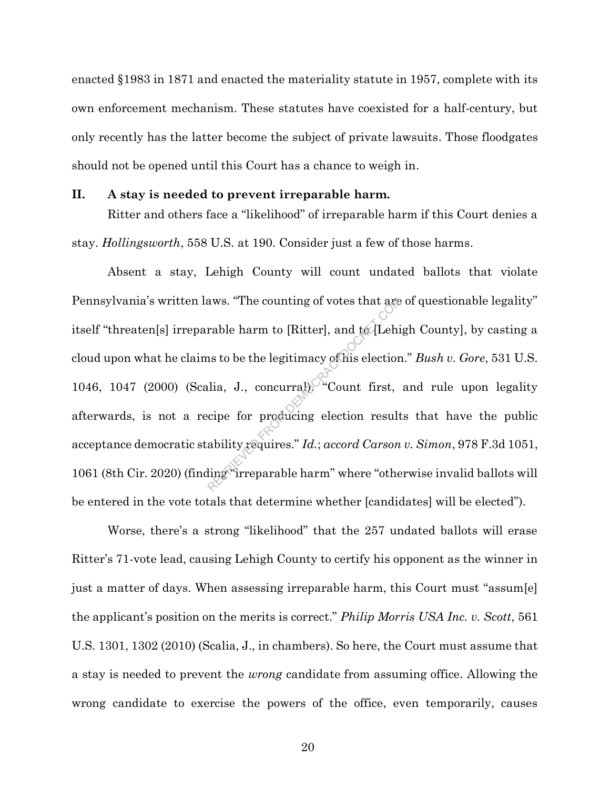enacted §1983 in 1871 and enacted the materiality statute in 1957, complete with its own enforcement mechanism. These statutes have coexisted for a half-century, but only recently has the latter become the subject of private lawsuits. Those floodgates should not be opened until this Court has a chance to weigh in.

#### **II. A stay is needed to prevent irreparable harm.**

Ritter and others face a "likelihood" of irreparable harm if this Court denies a stay. *Hollingsworth*, 558 U.S. at 190. Consider just a few of those harms.

Absent a stay, Lehigh County will count undated ballots that violate Pennsylvania's written laws. "The counting of votes that are of questionable legality" itself "threaten[s] irreparable harm to [Ritter], and to [Lehigh County], by casting a cloud upon what he claims to be the legitimacy of his election." *Bush v. Gore*, 531 U.S. 1046, 1047 (2000) (Scalia, J., concurral). "Count first, and rule upon legality afterwards, is not a recipe for producing election results that have the public acceptance democratic stability requires." *Id.*; *accord Carson v. Simon*, 978 F.3d 1051, 1061 (8th Cir. 2020) (finding "irreparable harm" where "otherwise invalid ballots will be entered in the vote totals that determine whether [candidates] will be elected"). aws. "The counting of votes that are<br>rable harm to [Ritter], and te/Lehi<br>ns to be the legitimacy of his election<br>lia, J., concurraby "Count first,<br>come for producing election result<br>ability requires."  $Id$ .; accord Carson<br>

Worse, there's a strong "likelihood" that the 257 undated ballots will erase Ritter's 71-vote lead, causing Lehigh County to certify his opponent as the winner in just a matter of days. When assessing irreparable harm, this Court must "assum[e] the applicant's position on the merits is correct." *Philip Morris USA Inc. v. Scott*, 561 U.S. 1301, 1302 (2010) (Scalia, J., in chambers). So here, the Court must assume that a stay is needed to prevent the *wrong* candidate from assuming office. Allowing the wrong candidate to exercise the powers of the office, even temporarily, causes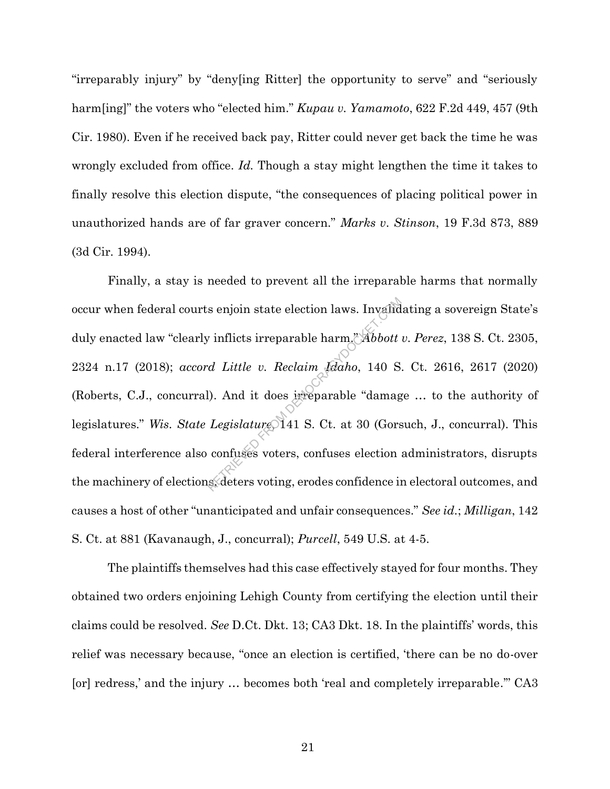"irreparably injury" by "deny[ing Ritter] the opportunity to serve" and "seriously harm[ing]" the voters who "elected him." *Kupau v. Yamamoto*, 622 F.2d 449, 457 (9th Cir. 1980). Even if he received back pay, Ritter could never get back the time he was wrongly excluded from office. *Id.* Though a stay might lengthen the time it takes to finally resolve this election dispute, "the consequences of placing political power in unauthorized hands are of far graver concern." *Marks v. Stinson*, 19 F.3d 873, 889 (3d Cir. 1994).

Finally, a stay is needed to prevent all the irreparable harms that normally occur when federal courts enjoin state election laws. Invalidating a sovereign State's duly enacted law "clearly inflicts irreparable harm." *Abbott v. Perez*, 138 S. Ct. 2305, 2324 n.17 (2018); *accord Little v. Reclaim Idaho*, 140 S. Ct. 2616, 2617 (2020) (Roberts, C.J., concurral). And it does irreparable "damage … to the authority of legislatures." *Wis. State Legislature*, 141 S. Ct. at 30 (Gorsuch, J., concurral). This federal interference also confuses voters, confuses election administrators, disrupts the machinery of elections, deters voting, erodes confidence in electoral outcomes, and causes a host of other "unanticipated and unfair consequences." *See id.*; *Milligan*, 142 S. Ct. at 881 (Kavanaugh, J., concurral); *Purcell*, 549 U.S. at 4-5. s enjoin state election laws. Invalided in the inflicts irreparable harm." Abbott<br>
d Little v. Reclaim Idaho, 140 S<br>
(comment). And it does irreparable "damaged Legislature 141 S. Ct. at 30 (Gors<br>
confuses voters, confuses

The plaintiffs themselves had this case effectively stayed for four months. They obtained two orders enjoining Lehigh County from certifying the election until their claims could be resolved. *See* D.Ct. Dkt. 13; CA3 Dkt. 18. In the plaintiffs' words, this relief was necessary because, "once an election is certified, 'there can be no do-over [or] redress,' and the injury … becomes both 'real and completely irreparable.'" CA3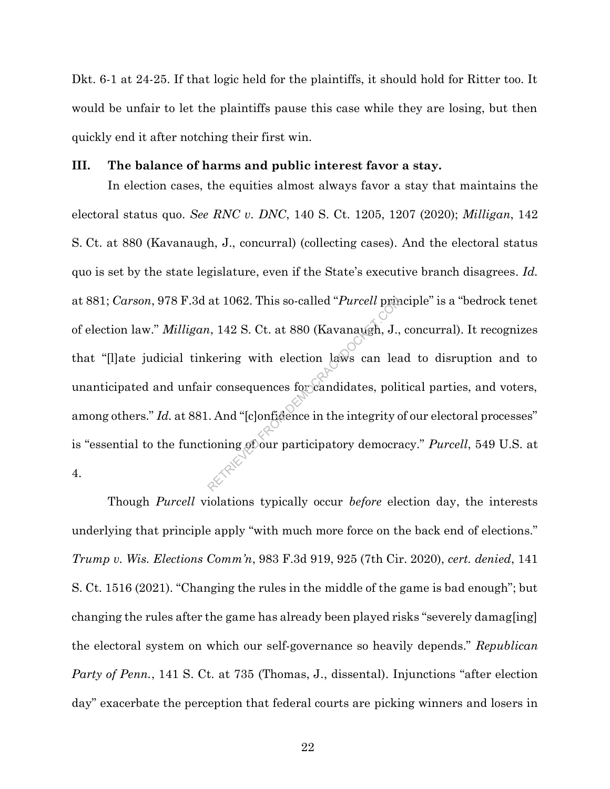Dkt. 6-1 at 24-25. If that logic held for the plaintiffs, it should hold for Ritter too. It would be unfair to let the plaintiffs pause this case while they are losing, but then quickly end it after notching their first win.

#### **III. The balance of harms and public interest favor a stay.**

In election cases, the equities almost always favor a stay that maintains the electoral status quo. *See RNC v. DNC*, 140 S. Ct. 1205, 1207 (2020); *Milligan*, 142 S. Ct. at 880 (Kavanaugh, J., concurral) (collecting cases). And the electoral status quo is set by the state legislature, even if the State's executive branch disagrees. *Id.* at 881; *Carson*, 978 F.3d at 1062. This so-called "*Purcell* principle" is a "bedrock tenet of election law." *Milligan*, 142 S. Ct. at 880 (Kavanaugh, J., concurral). It recognizes that "[l]ate judicial tinkering with election laws can lead to disruption and to unanticipated and unfair consequences for candidates, political parties, and voters, among others." *Id.* at 881. And "[c]onfidence in the integrity of our electoral processes" is "essential to the functioning of our participatory democracy." *Purcell*, 549 U.S. at 4. at 1062. This so-called "*Purcell* prime<br>  $h$ , 142 S. Ct. at 880 (Kavanaugh, J.,<br>
kering with election laws can least<br>
r consequences for candidates, politically<br>
. And "[c]onfidence in the integrity of ioning of our part

Though *Purcell* violations typically occur *before* election day, the interests underlying that principle apply "with much more force on the back end of elections." *Trump v. Wis. Elections Comm'n*, 983 F.3d 919, 925 (7th Cir. 2020), *cert. denied*, 141 S. Ct. 1516 (2021). "Changing the rules in the middle of the game is bad enough"; but changing the rules after the game has already been played risks "severely damag[ing] the electoral system on which our self-governance so heavily depends." *Republican Party of Penn.*, 141 S. Ct. at 735 (Thomas, J., dissental). Injunctions "after election day" exacerbate the perception that federal courts are picking winners and losers in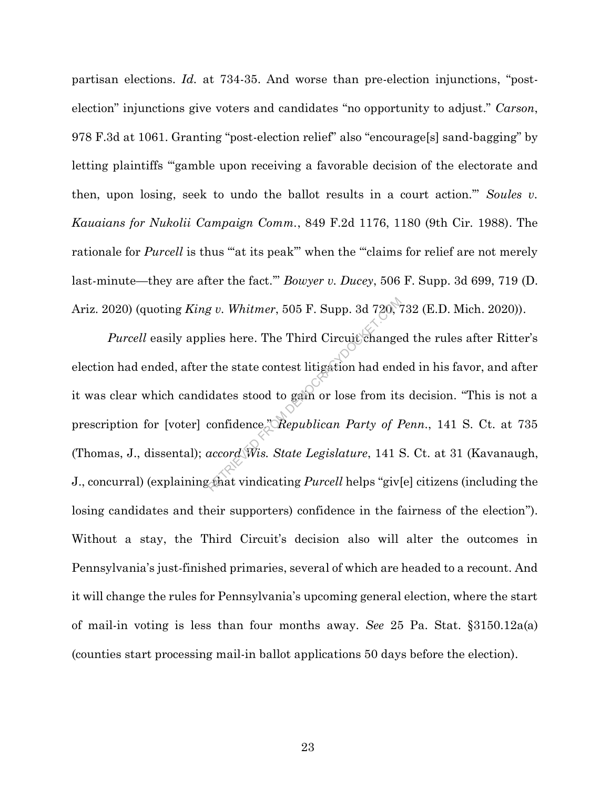partisan elections. *Id.* at 734-35. And worse than pre-election injunctions, "postelection" injunctions give voters and candidates "no opportunity to adjust." *Carson*, 978 F.3d at 1061. Granting "post-election relief" also "encourage[s] sand-bagging" by letting plaintiffs "gamble upon receiving a favorable decision of the electorate and then, upon losing, seek to undo the ballot results in a court action.'" *Soules v. Kauaians for Nukolii Campaign Comm.*, 849 F.2d 1176, 1180 (9th Cir. 1988). The rationale for *Purcell* is thus ""at its peak" when the ""claims for relief are not merely last-minute—they are after the fact.'" *Bowyer v. Ducey*, 506 F. Supp. 3d 699, 719 (D. Ariz. 2020) (quoting *King v. Whitmer*, 505 F. Supp. 3d 720, 732 (E.D. Mich. 2020)).

*Purcell* easily applies here. The Third Circuit changed the rules after Ritter's election had ended, after the state contest litigation had ended in his favor, and after it was clear which candidates stood to gain or lose from its decision. "This is not a prescription for [voter] confidence." *Republican Party of Penn.*, 141 S. Ct. at 735 (Thomas, J., dissental); *accord Wis. State Legislature*, 141 S. Ct. at 31 (Kavanaugh, J., concurral) (explaining that vindicating *Purcell* helps "giv[e] citizens (including the losing candidates and their supporters) confidence in the fairness of the election"). Without a stay, the Third Circuit's decision also will alter the outcomes in Pennsylvania's just-finished primaries, several of which are headed to a recount. And it will change the rules for Pennsylvania's upcoming general election, where the start of mail-in voting is less than four months away. *See* 25 Pa. Stat. §3150.12a(a) (counties start processing mail-in ballot applications 50 days before the election). g v. Whitmer, 505 F. Supp. 3d 720,  $\%$ <br>lies here. The Third Circuit change<br>the state contest litigation had end<br>idates stood to gain or lose from its<br>confidence," $\%$ Republican Party of I<br>accord Wis. State Legislature, 1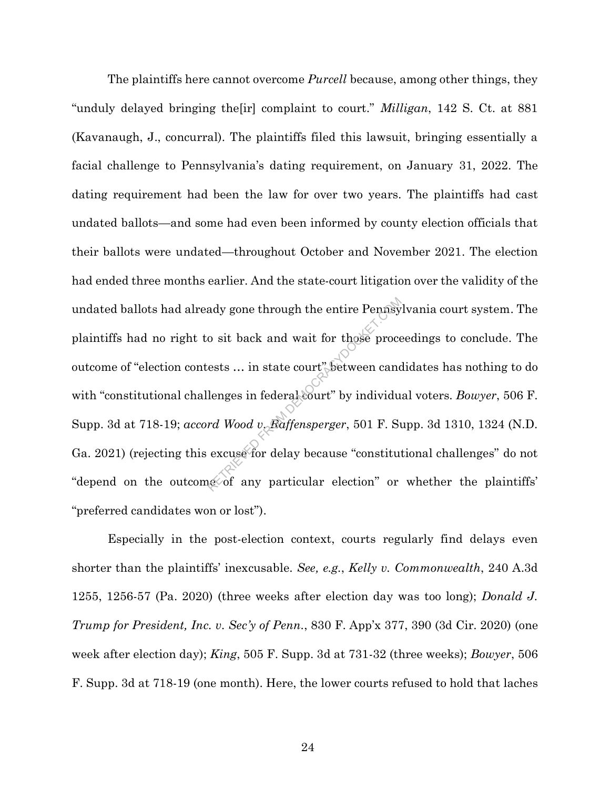The plaintiffs here cannot overcome *Purcell* because, among other things, they "unduly delayed bringing the[ir] complaint to court." *Milligan*, 142 S. Ct. at 881 (Kavanaugh, J., concurral). The plaintiffs filed this lawsuit, bringing essentially a facial challenge to Pennsylvania's dating requirement, on January 31, 2022. The dating requirement had been the law for over two years. The plaintiffs had cast undated ballots—and some had even been informed by county election officials that their ballots were undated—throughout October and November 2021. The election had ended three months earlier. And the state-court litigation over the validity of the undated ballots had already gone through the entire Pennsylvania court system. The plaintiffs had no right to sit back and wait for those proceedings to conclude. The outcome of "election contests … in state court" between candidates has nothing to do with "constitutional challenges in federal court" by individual voters. *Bowyer*, 506 F. Supp. 3d at 718-19; *accord Wood v. Raffensperger*, 501 F. Supp. 3d 1310, 1324 (N.D. Ga. 2021) (rejecting this excuse for delay because "constitutional challenges" do not "depend on the outcome of any particular election" or whether the plaintiffs' "preferred candidates won or lost"). ady gone through the entire Pennsy<br>
o sit back and wait for those proce<br>
ests ... in state court" between cand<br>
lenges in federal court" by individu<br>
rd Wood v. Raffensperger, 501 F. Su<br>
excuse for delay because "constitut

Especially in the post-election context, courts regularly find delays even shorter than the plaintiffs' inexcusable. *See, e.g.*, *Kelly v. Commonwealth*, 240 A.3d 1255, 1256-57 (Pa. 2020) (three weeks after election day was too long); *Donald J. Trump for President, Inc. v. Sec'y of Penn.*, 830 F. App'x 377, 390 (3d Cir. 2020) (one week after election day); *King*, 505 F. Supp. 3d at 731-32 (three weeks); *Bowyer*, 506 F. Supp. 3d at 718-19 (one month). Here, the lower courts refused to hold that laches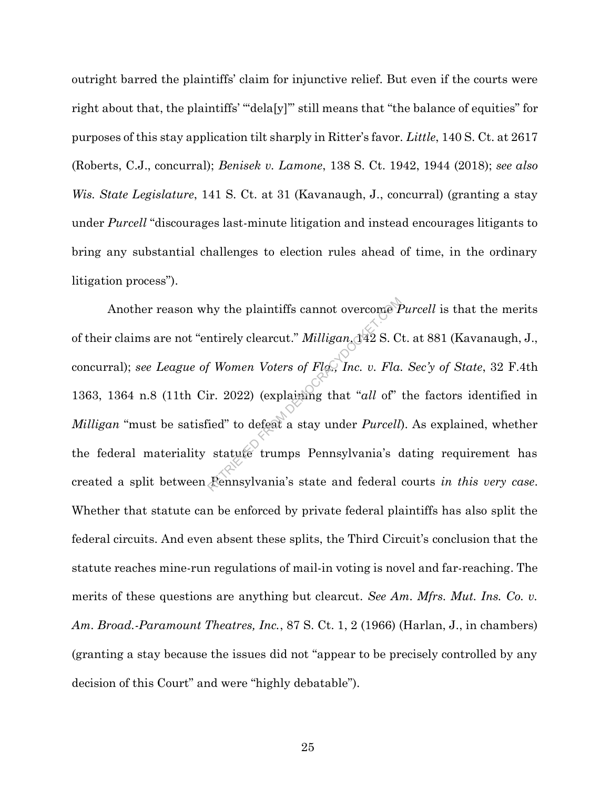outright barred the plaintiffs' claim for injunctive relief. But even if the courts were right about that, the plaintiffs' "'dela[y]'" still means that "the balance of equities" for purposes of this stay application tilt sharply in Ritter's favor. *Little*, 140 S. Ct. at 2617 (Roberts, C.J., concurral); *Benisek v. Lamone*, 138 S. Ct. 1942, 1944 (2018); *see also Wis. State Legislature*, 141 S. Ct. at 31 (Kavanaugh, J., concurral) (granting a stay under *Purcell* "discourages last-minute litigation and instead encourages litigants to bring any substantial challenges to election rules ahead of time, in the ordinary litigation process").

Another reason why the plaintiffs cannot overcome *Purcell* is that the merits of their claims are not "entirely clearcut." *Milligan*,  $\frac{1}{4}$ 2 S. Ct. at 881 (Kavanaugh, J., concurral); *see League of Women Voters of Fla., Inc. v. Fla. Sec'y of State*, 32 F.4th 1363, 1364 n.8 (11th Cir. 2022) (explaining that "*all* of" the factors identified in *Milligan* "must be satisfied" to defeat a stay under *Purcell*). As explained, whether the federal materiality statute trumps Pennsylvania's dating requirement has created a split between Pennsylvania's state and federal courts *in this very case*. Whether that statute can be enforced by private federal plaintiffs has also split the federal circuits. And even absent these splits, the Third Circuit's conclusion that the statute reaches mine-run regulations of mail-in voting is novel and far-reaching. The merits of these questions are anything but clearcut. *See Am. Mfrs. Mut. Ins. Co. v. Am. Broad.-Paramount Theatres, Inc.*, 87 S. Ct. 1, 2 (1966) (Harlan, J., in chambers) (granting a stay because the issues did not "appear to be precisely controlled by any decision of this Court" and were "highly debatable"). hy the plaintiffs cannot overcome *P*<br>ntirely clearcut." *Milligan*,  $\frac{1}{42}$  S. C<br>*f Women Voters of Flog, Inc. v. Fla.*<br>ir. 2022) (explaining that "*all* of"<br>ied" to defeat a stay under *Purcell*,<br>statute trumps Pennsy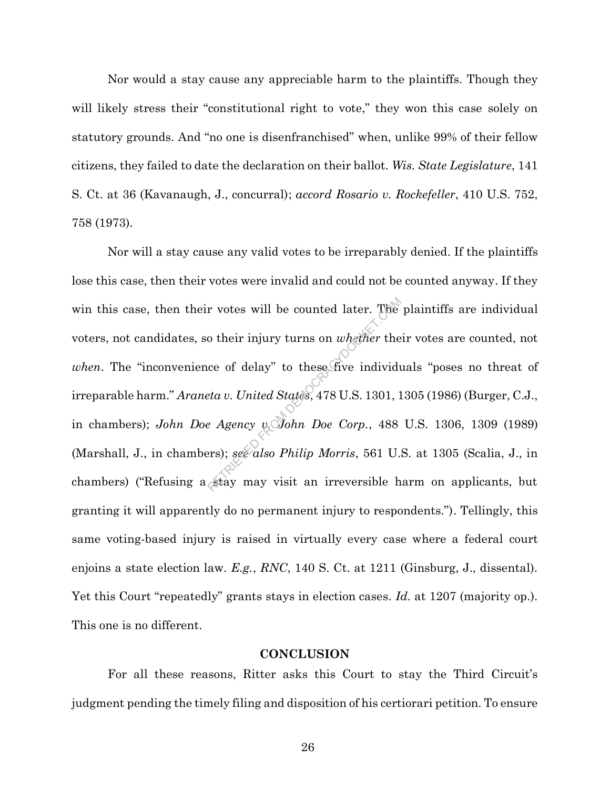Nor would a stay cause any appreciable harm to the plaintiffs. Though they will likely stress their "constitutional right to vote," they won this case solely on statutory grounds. And "no one is disenfranchised" when, unlike 99% of their fellow citizens, they failed to date the declaration on their ballot. *Wis. State Legislature*, 141 S. Ct. at 36 (Kavanaugh, J., concurral); *accord Rosario v. Rockefeller*, 410 U.S. 752, 758 (1973).

Nor will a stay cause any valid votes to be irreparably denied. If the plaintiffs lose this case, then their votes were invalid and could not be counted anyway. If they win this case, then their votes will be counted later. The plaintiffs are individual voters, not candidates, so their injury turns on *whether* their votes are counted, not *when*. The "inconvenience of delay" to these five individuals "poses no threat of irreparable harm." *Araneta v. United States*, 478 U.S. 1301, 1305 (1986) (Burger, C.J., in chambers); *John Doe Agency v. John Doe Corp.*, 488 U.S. 1306, 1309 (1989) (Marshall, J., in chambers); *see also Philip Morris*, 561 U.S. at 1305 (Scalia, J., in chambers) ("Refusing a stay may visit an irreversible harm on applicants, but granting it will apparently do no permanent injury to respondents."). Tellingly, this same voting-based injury is raised in virtually every case where a federal court enjoins a state election law. *E.g.*, *RNC*, 140 S. Ct. at 1211 (Ginsburg, J., dissental). Yet this Court "repeatedly" grants stays in election cases. *Id.* at 1207 (majority op.). This one is no different. r votes will be counted later. The<br>
o their injury turns on *whether* the<br>
ce of delay" to these five individu<br> *eta v. United States*, 478 U.S. 1301, 1<br> *e Agency v. John Doe Corp.*, 488<br>
ers); *see also Philip Morris*, 5

#### **CONCLUSION**

For all these reasons, Ritter asks this Court to stay the Third Circuit's judgment pending the timely filing and disposition of his certiorari petition. To ensure